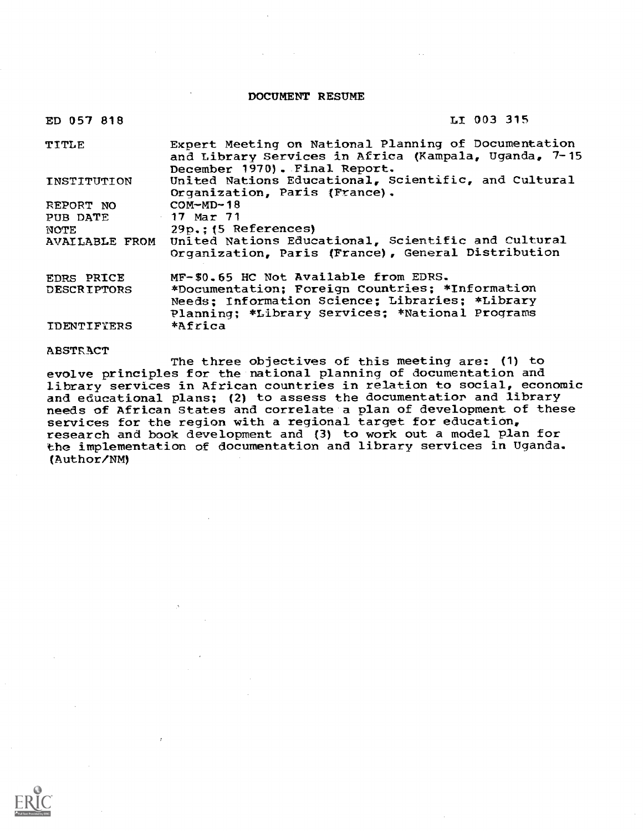DOCUMENT RESUME

| ED 057 818         | LI 003 315                                                                                                                                     |
|--------------------|------------------------------------------------------------------------------------------------------------------------------------------------|
| TITLE              | Expert Meeting on National Planning of Documentation<br>and Library Services in Africa (Kampala, Uganda, 7-15<br>December 1970). Final Report. |
| INSTITUTION        | United Nations Educational, Scientific, and Cultural<br>Organization, Paris (France).                                                          |
| REPORT NO          | $COM-MD-18$                                                                                                                                    |
| PUB DATE           | 17 Mar 71                                                                                                                                      |
| NOTE               | $29p$ ; $(5 \text{ References})$                                                                                                               |
|                    | AVAILABLE FROM United Nations Educational, Scientific and Cultural<br>Organization, Paris (France), General Distribution                       |
| <b>EDRS PRICE</b>  | MF-\$0.65 HC Not Available from EDRS.                                                                                                          |
| <b>DESCRIPTORS</b> | *Documentation; Foreign Countries; *Information                                                                                                |
|                    | Needs; Information Science; Libraries; *Library                                                                                                |
|                    | Planning; *Library Services; *National Programs                                                                                                |
| <b>IDENTIFIERS</b> | *Africa                                                                                                                                        |

#### ABSTRACT

The three objectives of this meeting are: (1) to evolve principles for the national planning of documentation and library services in African countries in relation to social, economic and educational plans; (2) to assess the documentatior and library needs of African States and correlate a plan of development of these services for the region with a regional target for education, research and book development and (3) to work out a model plan for the implementation of documentation and library services in Uganda. (Author/NM)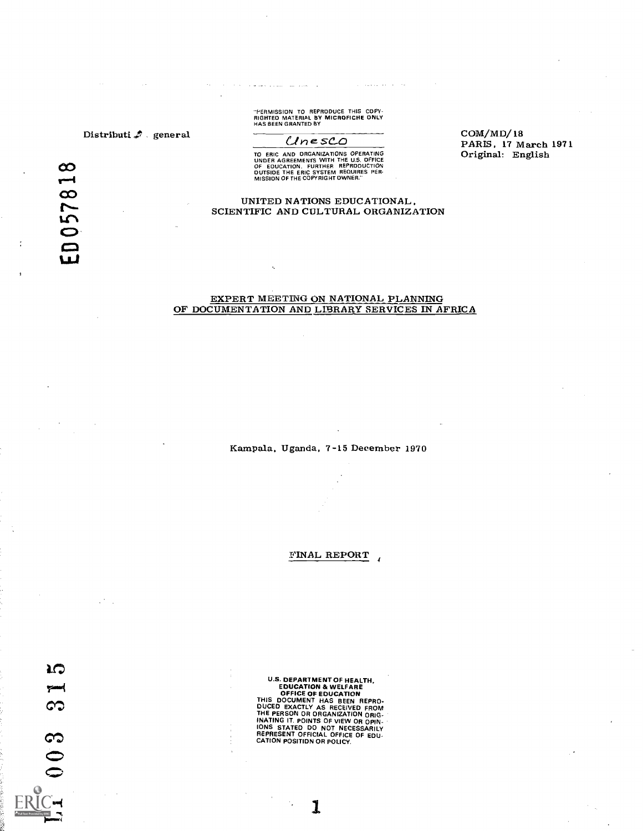### Distributi  $\clubsuit$  general

 $\infty$  $\overline{\phantom{0}}$ 0578 "PERMISSION TO REPRODUCE THIS COPY- RIGHTED MATERIAL BY MICROFICHE ONLY HAS BEEN GRANTED BY

الأراد والمتحدث والمستحدث والمحافظة

الحجار والمحول ووجهت الراز

### $UnesCO$

TO ERIC AND ORGANIZATIONS OPERATING<br>UNDER AGREEMENTS WITH THE U.S. OFFICE<br>OF EOUCATION. FURTHER REPRODUCTION<br>OUTSION OF THE COPYRIGHT OWNER."<br>MISSION OF THE COPYRIGHT OWNER."

#### UNITED NATIONS EDUCATIONAL, SCIENTIFIC AND CULTURAL ORGANIZATION

#### EXPERT MEETING ON NATIONAL PLANNING OF DOCUMENTATION AND LIBRARY SERVICES IN AFRICA

Kampala, Uganda, 7-15 December 1970

FINAL REPORT

**IO**  $\infty$  $003$ 

U.S. DEPARTMENT OF HEALTH,<br>EDUCATION & WELFARE<br>OFFICE OF EDUCATION<br>THIS DOCUMENT HAS BEEN REPRO.<br>DUCED EXACTLY AS RECEIVED FROM<br>THE PERSON OR ORGANIZATION ORIG-<br>INATING IT. POINTS OF VIEW OR OPIN-<br>IONS STATED DO NOT NECESS

COM/MD/18 PARIS, 17 March 1971 Original: English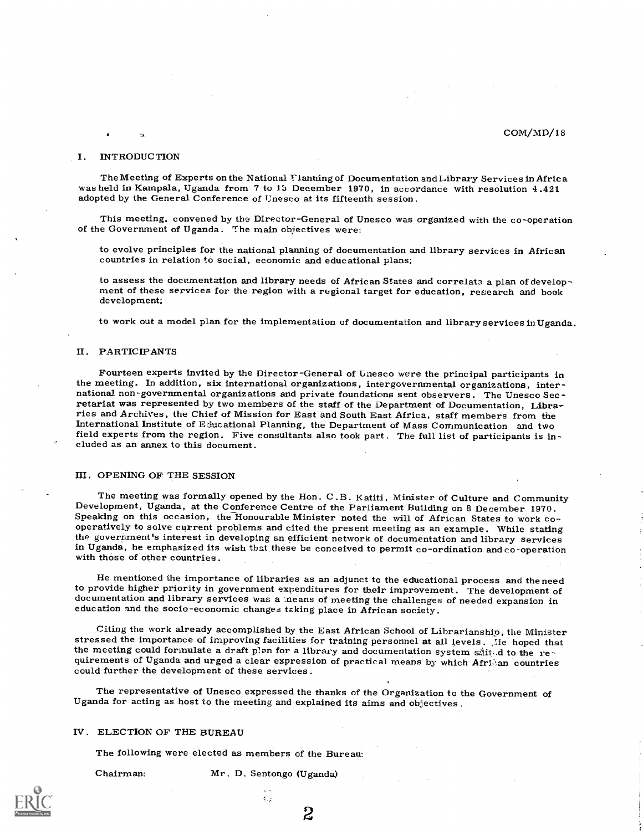#### COM/MD/18

#### I. INTRODUCTION

The Meeting of Experts on the National 1-1anning of Documentation and Library Services in Afric a was held in Kampala, Uganda from 7 to 15 December 1970, in accordance with resolution 4.421 adopted by the General Conference of Unesco at its fifteenth session.

This meeting, convened by the Director-General of Unesco was organized with the co-operation of the Government of Uganda. The main objectives were:

to evolve principles for the national planning of documentation and library services in African countries in relation to social, economic and educational plans;

to assess the documentation and library needs of African States and correlate a plan of develop-<br>ment of these services for the region with a regional target for education, research and book development;

to work out a model plan for the implementation of documentation and library services in Uganda.

#### II. PARTICIPANTS

Fourteen experts invited by the Director-General of Unesco were the principal participants in the meeting. In addition, six international organizations, intergovernmental organizations, international non-governmental organizations and private foundations sent observers. The Unesco Sec-<br>retariat was represented by two members of the staff of the Department of Documentation, Libra-<br>ries and Archives, the Chief o International Institute of Educational Planning, the Department of Mass Communication and two field experts from the region. Five consultants also took part. The full list of participants is in- cluded as an annex to this document.

#### III. OPENING OF THE SESSION

The meeting was formally opened by the Hon. C.B. Katiti, Minister of Culture and Community<br>Development, Uganda, at the Conference Centre of the Parliament Building on 8 December 1970,<br>Speaking on this occasion, the Honoura the government's interest in developing an efficient network of documentation and library services in Uganda, he emphasized its wish that these be conceived to permit co-ordination and co-operation with those of other countries.

He mentioned the importance of libraries as an adjunct to the educational process and the need<br>to provide higher priority in government expenditures for their improvement. The development of documentation and library services was a neans of meeting the challenges of needed expansion in education and the socio-economic changes taking place in African society.

Citing the work already accomplished by the East African School of Librarianship, the Minister<br>stressed the importance of improving facilities for training personnel at all levels. He hoped that<br>the meeting could formulat

The representative of Unesco expressed the thanks of the Organization to the Government of Uganda for acting as host to the meeting and explained its aims and objectives .

#### IV. ELECTION OF THE BUREAU

The following were elected as members of the Bureau:

Chairman: Mr. D. Sentongo (Uganda)

 $\mathcal{E}_{\alpha,\beta}$ 

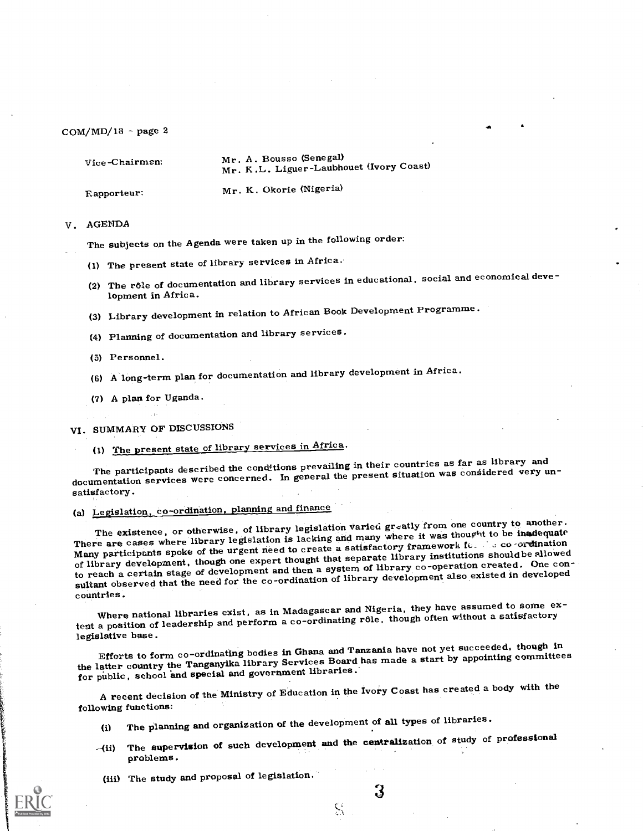| $Vice-Chairmen$ | Mr. A. Bousso (Senegal)<br>Mr. K.L. Liguer-Laubhouet (Ivory Coast) |
|-----------------|--------------------------------------------------------------------|
| Rapporteur:     | Mr. K. Okorie (Nigeria)                                            |

#### V. AGENDA

The subjects on the Agenda were taken up in the following order:

- (1) The present state of library services in Africa.
- (2) The rôle of documentation and library services in educational, social and economical development in Africa.

 $-1$ 

- (3) Library development in relation to African Book Development Programme.
- (4) Planning of documentation and library services.
- (5) Personnel.
- (6) A long-term plan for documentation and library development in Africa.
- (7) A plan for Uganda.

VI. SUMMARY OF DISCUSSIONS

(1) The present state of library services in Africa.

The participants described the conditions prevailing in their countries as far as library and documentation services were concerned. In general the present situation was considered very unsatisfactory.

# (a) Legislation, co-ordination, planning and finance

The existence, or otherwise, of library legislation varied greatly from one country to another. There are cases where library legislation is lacking and many where it was thought to be inadequate Many participants spoke of the urgent need to create a satisfactory framework for the co-ordination of library development, though one expert thought that separate library institutions shouldbe allowed to reach a certain stage of development and then a system of library co-operation created. One consultant observed that the need for the co-ordination of library development also existed in developed countries.

Where national libraries exist, as in Madagascar and Nigeria, they have assumed to some extent a position of leadership and perform a co-ordinating rôle, though often without a satisfactory legislative base.

Efforts to form co-ordinating bodies in Ghana and Tanzania have not yet succeeded, though in the latter country the Tanganyika library Services Board has made a start by appointing committees for public, school and special and government libraries.

A recent decision of the Ministry of Education in the Ivory Coast has created a body with the following functions:

- (i) The planning and organization of the development of all types of libraries.
- -(ii) The supervision of such development and the centralization of study of professional problems.

 $\zeta_{\lambda}$ 

(iii) The study and proposal of legislation.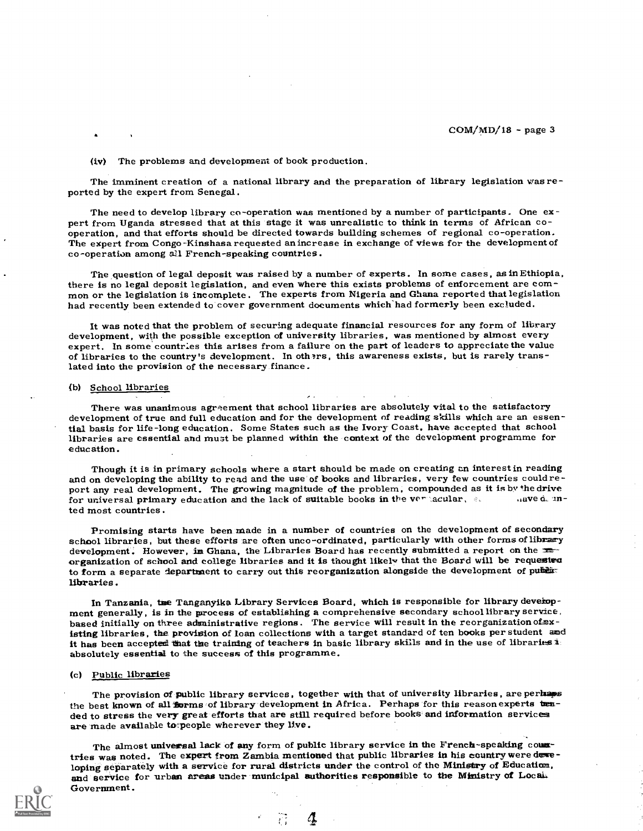#### (iv) The problems and development of book production.

The imminent creation of a national library and the preparation of library legislation vas re- ported by the expert from Senegal.

The need to develop library co-operation was mentioned by a number of participants. One expert from Uganda stressed that at this stage it was unrealistic to think in terms of African co-operation, and that efforts should b

The question of legal deposit was raised by a number of experts. In some cases, as in Ethiopia, there is no legal deposit legislation, and even where this exists problems of enforcement are com-<br>mon or the legislation is i had recently been extended to cover government documents which had formerly been excluded.

It was noted that the problem of securing adequate financial resources for any form of library development, with the possible exception of university libraries, was mentioned by almost every expert. In some countrles this arises from a failure on the part of leaders to appreciate the value<br>of libraries to the country's development. In oth?rs, this awareness exists, but is rarely translated into the provision of the necessary finance.

#### (b) School libraries

There was unanimous agreement that school libraries are absolutely vital to the satisfactory development of true and full education and for the development of reading skills which are an essential basis for life-long education. Some States such as the Ivory Coast, have accepted that school libraries are essential and must be planned within the context of the development programme for education.

Though it is in primary schools where a start should be made on creating an interest in reading and on developing the ability to read and the use of books and libraries, very few countries could report any real development. The growing magnitude of the problem, compounded as it is by the drive for universal primary education and the lack of suitable books in the verticalism,  $\sin x = 0$  and  $\sin x = 0$ ted most countries.

Promising starts have been made in a number of countries on the development of secondary school libraries, but these efforts are often unco-ordinated, particularly with other forms of library<br>development. However, in Ghana, the Libraries Board has recently submitted a report on the xx organization of school and college libraries and it is thought likely that the Board will be requested to form a separate department to carry out this reorganization alongside the development of public libraries .

In Tanzania, the Tanganyika Library Services Board, which is responsible for library development generally, is in the process of establishing a comprehensive secondary school library service, based initially on three admin isting libraries, the provision of loan collections with a target standard of ten books per student and it has been accepted that the training of teachers in basic library skills and in the use of libraries  $\overline{\mathbf{a}}$ :<br>absolutely essential to the success of this programme.

### (c) Public libraries

The provision of public library services, together with that of university libraries, are perhaps the best known of all forms of library development in Africa. Perhaps for this reason experts tended to stress the very great efforts that are still required before books and information services are made available to peop

The almost universal lack of any form of public library service in the French-speaking countries was noted. The expert from Zambia mentioned that public libraries in his country were developing separately with a service for rural districts under the control of the Ministry of Education,<br>and service for urban areas under municipal authorities responsible to the Ministry of Local. Government.

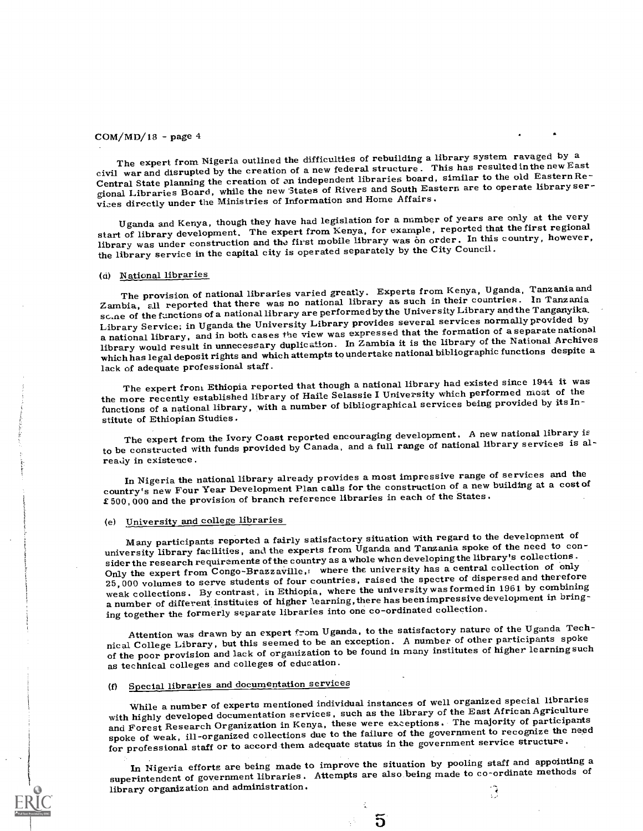The expert from Nigeria outlined the difficulties of rebuilding a library system ravaged by a civil war and disrupted by the creation of a new federal structure . This has resultedinthe new East Central State planning the creation of an independent libraries board, similar to the old EasternRegional Libraries Board, while the new States of Rivers and South Eastern are to operate library services directly under the Ministries of Information and Home Affairs.

Uganda and Kenya, though they have had legislation for a number of years are only at the very start of library development. The expert from Kenya, for example, reported that the first regional library was under construction and the first mobile library was on order. In this country, however, the library service in the capital city is operated separately by the City Council.

### (d) National libraries

The provision of national libraries varied greatly. Experts from Kenya, Uganda, Tanzania and Zambia, all reported that there was no national library as such in their countries. In Tanzania scale of the functions of a national library are performed by the University Library and the Tanganyika, Library Service; in Uganda the University Library provides several services normallyprovided by a national library, and in both cases the view was expressed that the formation of a separate national library would result in unnecessary duplication. In Zambia it is the library of the National Archives which has legal deposit rights and which attempts to undertake national bibliographic functions despite a lack of adequate professional staff.

The expert from Ethiopia reported that though a national library had existed since 1944 it was the more recently established library of Haile Selassie I University which performed most of the functions of a national library, with a number of bibliographical services being provided by its Institute of Ethiopian Studies.

The expert from the Ivory Coast reported encouraging development. A new national library is to be constructed with funds provided by Canada, and a full range of national library services is already in existence.

In Nigeria the national library already provides a most impressive range of services and the country's new Four Year Development Plan calls for the construction of a new building at a cost of £500,000 and the provision of branch reference libraries in each of the States.

# (e) University and college libraries

Many participants reported a fairly satisfactory situation with regard to the development of university library facilities, and the experts from Uganda and Tanzania spoke of the need to consider the research requirements of the country as a whole when developing the library's collections . Only the expert from Congo-Brazzaville,: where the university has a central collection of only 25,000 volumes to serve students of four countries, raised the spectre of dispersed and therefore weak collections. By contrast, in Ethiopia, where the university was formed in 1961 by combining a number of different institutes of higher learning, there has been impressive development in bringing together the formerly separate libraries into one co-ordinated collection.

Attention was drawn by an expert from Uganda, to the satisfactory nature of the Uganda Technical College Library, but this seemed to be an exception. A number of other participants spoke of the poor provision and lack of organization to be found in many institutes of higher learning such as technical colleges and colleges of education.

# (f) Special libraries and documentation services

While a number of experts mentioned individual instances of well organized special libraries with highly developed documentation services, such as the library of the East African Agriculture and Forest Research Organization in Kenya, these were exceptions. The majority of participants spoke of weak, ill-organized collections due to the failure of the government to recognize the need for professional staff or to accord them adequate status in the government service structure.

In Nigeria efforts are being made to improve the situation by pooling staff and appointing a superintendent of government libraries. Attempts are also being made to co-ordinate methods of library organization and administration.़ि

 $\overline{5}$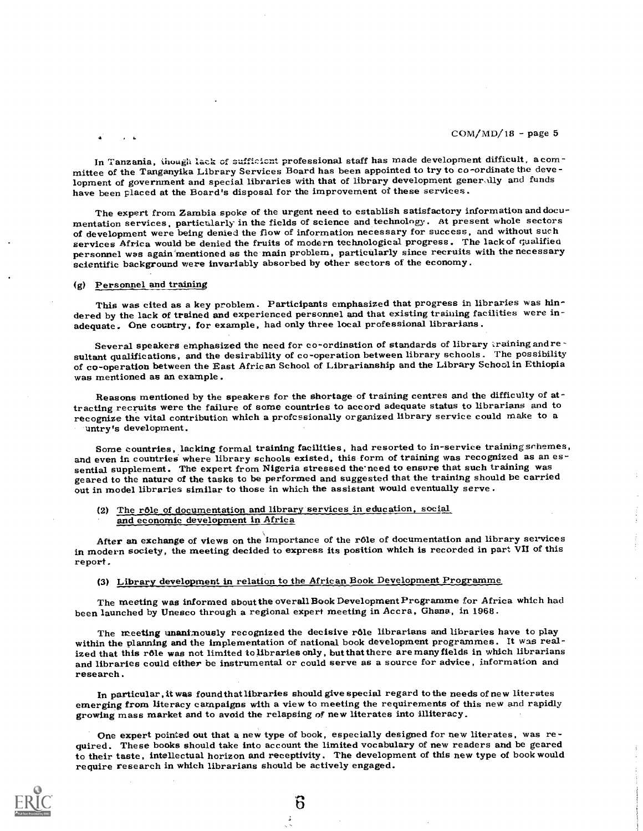In Tanzania, ihough lack of sufficient professional staff has made development difficult, a com-<br>mittee of the Tanganyika Library Services Board has been appointed to try to co-ordinate the development of government and special libraries with that of library development generally and funds have been placed at the Board's disposal for the improvement of these services.

The expert from Zambia spoke of the urgent need to establish satisfactory information and documentation services, particularly in the fields of science and technology. At present whole sectors of development were being denied the flow of information necessary for success, and without such<br>services Africa would be denied the fruits of modern technological progress. The lack of qualified personnel was again mentioned as the main problem, particularly since recruits with the necessary scientific background were invariably absorbed by other sectors of the economy.

### (g) Personnel and training

This was cited as a key problem. Participants emphasized that progress in libraries was hindered by the lack of trained and experienced personnel and that existing training facilities were inadequate. One country, for example, had only three local professional librarians .

Several speakers emphasized the need for co-ordination of standards of library training and resultant qualifications, and the desirability of co-operation between library schools. The possibility of co-operation between the East African School of Librarianship and the Library School in Ethiopia was mentioned as an example.

Reasons mentioned by the speakers for the shortage of training centres and the difficulty of attracting recruits were the failure of some countries to accord adequate status to librarians and to recognize the vital contribution which a professionally organized library service could make to a untry's development.

Some countries, lacking formal training facilities, had resorted to in-service training schemes, and even in countries where library schools existed, this form of training was recognized as an essential supplement. The exp

# (2) The role of documentation and library services in education, social and economic development in Africa

After an exchange of views on the importance of the r6le of documentation and library services in modern society, the meeting decided to express its position which is recorded in part VII of this report.

# (3) Library development in relation to the African Book Development Programme

The meeting was informed about the overall Book Development Programme for Africa which had been launched by Unesco through a regional expert meeting in Accra, Ghana, in 1968.

The meeting unanimously recognized the decisive rôle librarians and libraries have to play within the planning and the implementation of national book development programmes. It was realized that this rôle was not limited to libraries only, but that there are many fields in which librarians<br>and libraries could either be instrumental or could serve as a source for advice, information and research.

In particular, it was found that libraries should give special regard to the needs of new literates<br>emerging from literacy campaigns with a view to meeting the requirements of this new and rapidly<br>growing mass market and t

One expert pointed out that a new type of book, especially designed for new literates, was re- quired. These books should take into account the limited vocabulary of new readers and be geared to their taste, intellectual horizon and receptivity. The development of this new type of book would require research in which librarians should be actively engaged.

່ດັ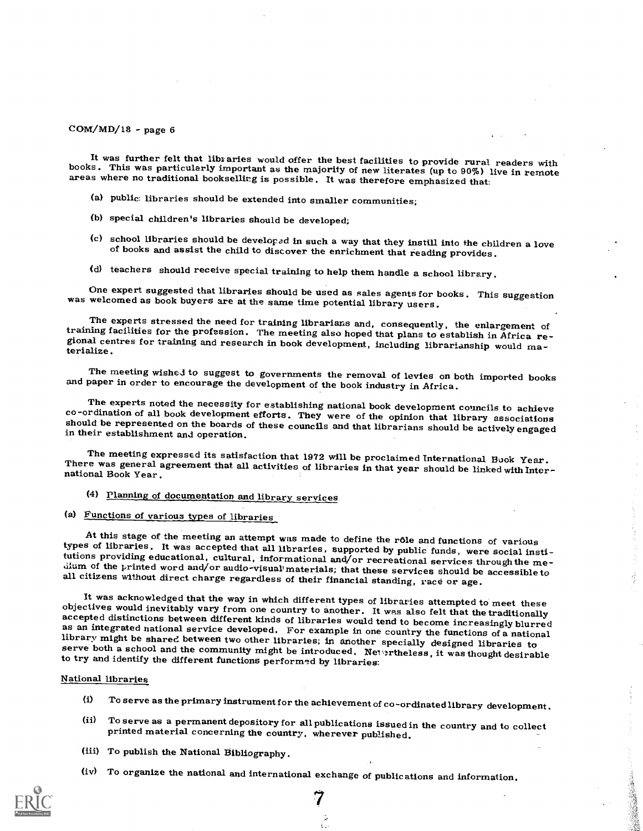It was further felt that libraries would offer the best facilities to provide rural readers with books. This was particularly important as the majority of new literates (up to 90%) live in remote areas where no traditional

- (a) public: libraries should be extended into smaller communities;
- (b) special children's libraries should be developed;
- (c) school libraries should be developad in such a way that they instill into the children a love of books and assist the child to discover the enrichment that reading provides.
- (d) teachers should receive special training to help them handle a school library.

One expert suggested that libraries should be used as sales agents for books. This suggestion was welcomed as book buyers are at the same time potential library users.

The experts stressed the need for training librarians and, consequently, the enlargement of training facilities for the profession. The meeting also hoped that plans to establish in Africa re-<br>gional centres for training a

The meeting wished to suggest to governments the removal of levies on both imported books and paper in order to encourage the development of the book industry in Africa.

The experts noted the necessity for establishing national book development councils to achieve<br>co-ordination of all book development efforts. They were of the opinion that library associations<br>should be represented on the

The meeting expressed its satisfaction that 1972 will be proclaimed International Book Year.<br>There was general agreement that all activities of libraries in that year should be linked with Inter-<br>national Book Year.

- (4) Planning of documentation and library services
- (a) Functions of various types of libraries

At this stage of the meeting an attempt was made to define the rôle and functions of various<br>types of libraries. It was accepted that all libraries, supported by public funds, were social insti-<br>tutions providing education

ğ

It was acknowledged that the way in which different types of libraries attempted to meet these<br>objectives would inevitably vary from one country to another. It was also felt that the traditionally<br>accepted distinctions bet

#### National libraries

- (i) To serve as the primary instrument for the achievement of co-ordinated library development .
- (ii) To serve as a permanent depository for all publications issued in the country and to collect printed material concerning the country, wherever published.
- (iii) To publish the National Bibliography.
- (iv) To organize the national and international exchange of publications and information.

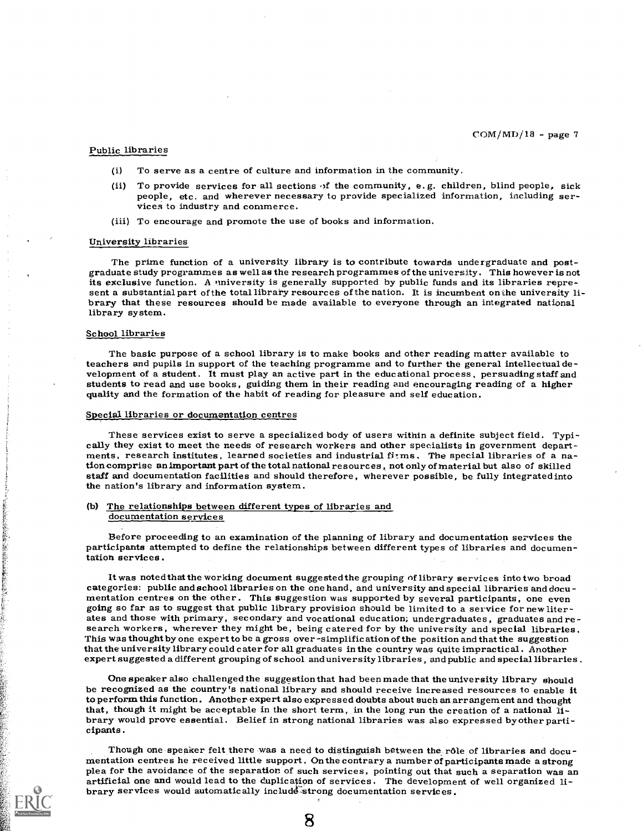#### Public libraries

- (i) To serve as a centre of culture and information in the community.
- (ii) To provide services for all sections of the community, e.g. children, blind people, sick people, etc. and wherever necessary to provide specialized information, including ser- vices to industry and commerce.
- (iii) To encourage and promote the use of books and information.

#### University libraries

The prime function of a university library is to contribute towards undergraduate and post-<br>graduate study programmes as well as the research programmes of the university. This however is not<br>its exclusive function. A univ library system.

#### School libraries

· 本部の大きなので、「大きなので、「大きなので、「大きなので、「大きなので、「大きなので、「大きなので、「大きなので、「大きなので、「大きなので、「大きなので、「大きなので、「大きなので、「大きなの

The basic purpose of a school library is to make books and other reading matter available to teachers and pupils in support of the teaching programme and to further the general intellectual de- velopment of a student. It must play an active part in the educational process, persuading staff and students to read and use books, guiding them in their reading and encouraging reading of a higher quality and the formation of the habit of reading for pleasure and self education.

#### Special libraries or documentation centres

These services exist to serve a specialized body of users within a definite subject field. Typically they exist to meet the needs of research workers and other specialists in government departments, research institutes, le tion comprise an important part of the total national resources, not only of material but also of skilled staff and documentation facilities and should therefore, wherever possible, be fully integrated into the nation's library and information system.

#### (b) The relationships between different types of libraries and documentation services

Before proceeding to an examination of the planning of library and documentation services the participants attempted to define the relationships between different types of libraries and documentation services.

It was noted that the working document suggested the grouping of library services into two broad categories: public and school libraries on the one hand, and university and special libraries and documentation centres on the other. This suggestion was supported by several participants, one even going so far as to suggest that public library provision should be limited to a service for new liter-<br>ates and those with primary, secondary and vocational education; undergraduates, graduates and re-<br>search workers, wher that the university library could cater for all graduates in the country was quite impractical . Another expert suggested a different grouping of school and university libraries , and public and special libraries .

One speaker also challenged the suggestion that had been made that the university library should be recognized as the country's national library and should receive increased resources to enable it to perform this function. Another expert also expressed doubts about such an arrangement and thought<br>that, though it might be acceptable in the short term, in the long run the creation of a national li-<br>brary would prove e

Though one speaker felt there was a need to distinguish between the rôle of libraries and documentation centres he received little support. On the contrary a number of participants made a strong plea for the avoidance of t artificial one and would lead to the duplication of services. The development of well organized li-<br>brary services would automatically include-strong documentation services.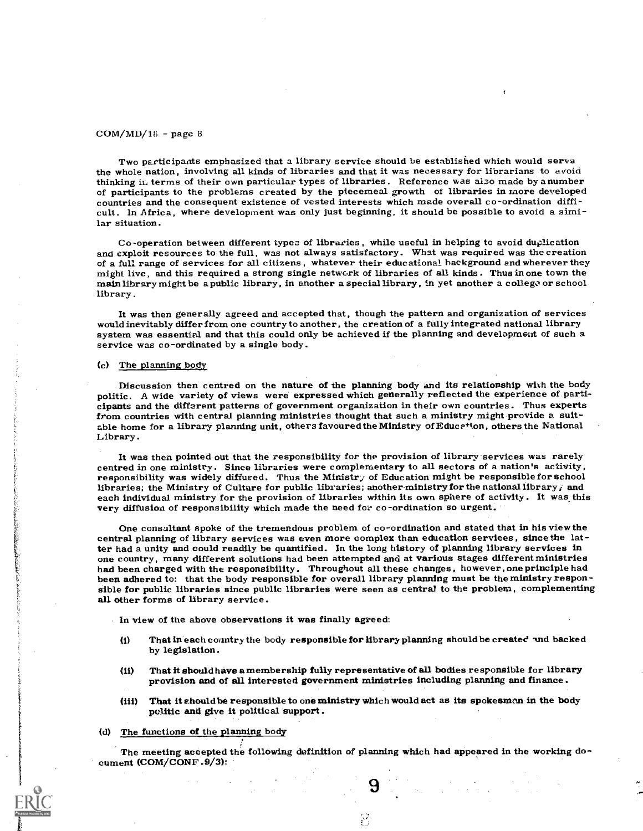Two participants emphasized that a library service should be established which would serve the whole nation, involving all kinds of libraries and that it was necessary for librarians to avoid thinking in terms of their own particular types of libraries. Reference was also made by a number of participants to the problems created by the piecemeal growth of libraries in more developed countries and the consequent cult. In Africa, where development was only just beginning, it should be possible to avoid a similar situation.

Co-operation between different types of libraries, while useful in helping to avoid duplication and exploit resources to the full, was not always satisfactory. What was required was the creation<br>of a full range of services for all citizens, whatever their educational hackground and wherever they might live, and this required a strong single network of libraries of all kinds. Thus in one town the main library might be a public library, in another a special library, in yet another a college or school library.

It was then generally agreed and accepted that, though the pattern and organization of services would inevitably differ from one country to another, , the creation of a fully integrated national library system was essential and that this could only be achieved if the planning and development of such a service was co-ordinated by a single body.

#### Cc) The planning body

Discussion then centred on the nature of the planning body and its relationship with the body politic. A wide variety of views were expressed which generally reflected the experience of participants and the different patterns of government organization in their own countries. Thus experts<br>from countries with central planning ministries thought that such a ministry might provide a suitform counterported the ministries of the ministry of the ministry of Educetion, others the National Library.

It was then pointed out that the responsibility for the provision of library services was rarely centred in one ministry. Since libraries were complementary to all sectors of a nation's activity, responsibility was widely diffured. Thus the Ministry of Education might be responsible for school libraries; the Ministry each individual ministry for the provision of libraries within its own sphere of activity. It was this very diffusion of responsibility which made the need for co-ordination so urgent.

One consultant spoke of the tremendous problem of co-ordination and stated that in his view the central planning of library services was even more complex than education services, since the latter had a unity and could readily be quantified. In the long history of planning library services in one country, many different solutions had been attempted and at various stages different ministries had been charged with the responsibility. Throughout all these changes, however, one principle had been adhered to: that t sible for public libraries since public libraries were seen as central to the problem, complementing all other forms of library service.

In view of the above observations it was finally agreed:

- (i) That in each country the body responsible for library planning should be created and backed by legislation.
- (ii) That it sbould have a membership fully representative of all bodies responsible for library provision and of all interested government ministries including planning and finance .
- (iii) That it chould be responsible to one ministry which would act as its spokesman in the body politic and give it political support .
- (d) The functions of the planning body

The meeting accepted the following definition of planning which had appeared in the working document (COM/CONF.9/3):

9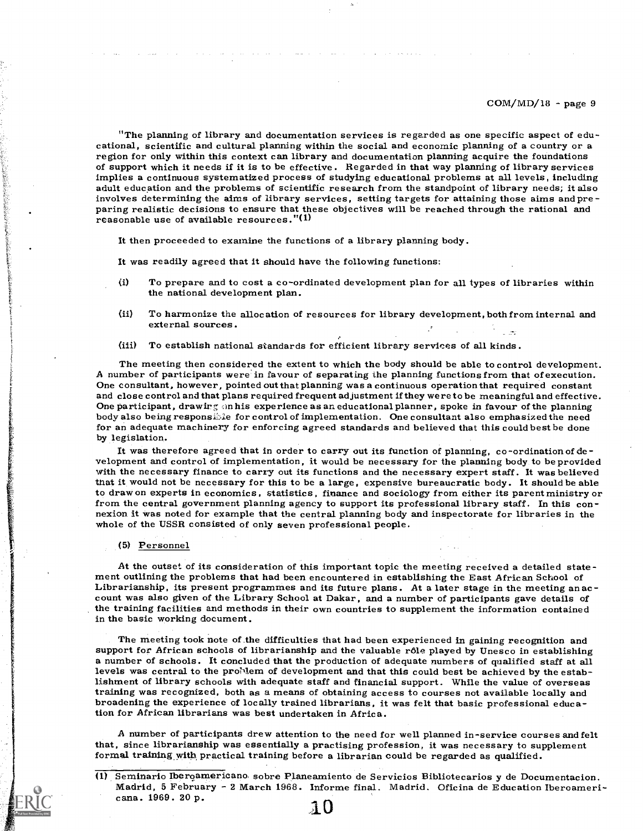"The planning of library and documentation services is regarded as one specific aspect of edu- cational, scientific and cultural planning within the social and economic planning of a country or a of support which it needs if it is to be effective. Regarded in that way planning of library services implies a continuous systematized process of studying educational problems at all levels, including adult education and the problems of scientific research from the standpoint of library needs; it also<br>involves determining the aims of library services, setting targets for attaining those aims and preparing realistic decisions to ensure that these objectives will be reached through the rational and reasonable use of available resources."(l)

It then proceeded to examine the functions of a library planning body.

It was readily agreed that it should have the following functions:

- (i) To prepare and to cost a co-ordinated development plan for all types of libraries within the national development plan.
- (ii) To harmonize the allocation of resources for library development, both from internal and external sources.
- (iii) To establish national standards for efficient library services of all kinds.

The meeting then considered the extent to which the body should be able to control development.<br>A number of participants were in favour of separating the planning functions from that of execution.<br>One consultant, however, for an adequate machinery for enforcing agreed standards and believed that this could best be done<br>by legislation.

It was therefore agreed that in order to carry out its function of planning, co-ordination of de-<br>velopment and control of implementation, it would be necessary for the planning body to be provided<br>with the necessary finan that it would not be necessary for this to be a large, expensive bureaucratic body. It should be able to draw on experts in economics, statistics, finance and sociology from either its parent ministry or from the central government planning agency to support its professional library staff. In this connexion it was noted for example that the central planning body and inspectorate for libraries in the whole of the USSR consisted of only seven professional people.

#### (5) Personnel

At the outset of its consideration of this important topic the meeting received a detailed statement outlining the problems that had been encountered in establishing the East African School of Librarianship, its present pr the training facilities and methods in their own countries to supplement the information contained in the basic working document.

The meeting took note of the difficulties that had been experienced in gaining recognition and support for African schools of librarianship and the valuable rôle played by Unesco in establishing a number of schools. It concluded that the production of adequate numbers of qualified staff at all levels was central to the proMem of development and that this could best be achieved by the establishment of library schools with adequate staff and financial support. While the value of overseas training was recognized, both as a means of obtaining access to courses not available locally and broadening the experience of locally trained librarians, it was felt that basic professional education for African librarians was best undertaken in Africa.

A number of participants drew attention to the need for well planned in-service courses and felt<br>that, since librarianship was essentially a practising profession, it was necessary to supplement<br>formal training with practi

<sup>(1)</sup> Seminario Iberoamericano sobre Planeamiento de Servicios Bibliotecarios y de Documentacion.<br>Madrid, 5 February - 2 March 1968. Informe final. Madrid. Oficina de Education Iberoameri-<br>cana. 1969. 20 p. 1 0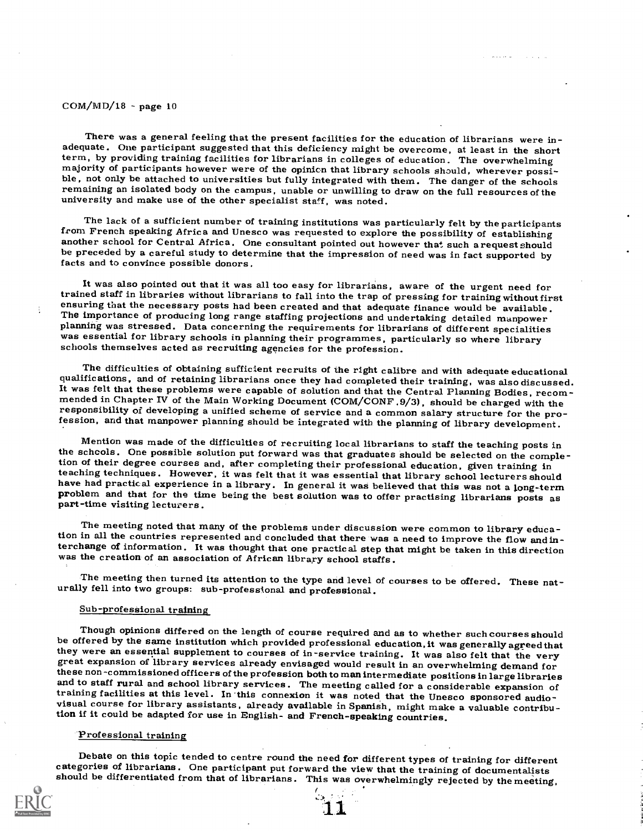There was a general feeling that the present facilities for the education of librarians were in-<br>adequate. One participant suggested that this deficiency might be overcome, at least in the short<br>term, by providing training

and a series

The lack of a sufficient number of training institutions was particularly felt by the participants from French speaking Africa and Unesco was requested to explore the possibility of establishing another school for Central be preceded by a careful study to determine that the impression of need was in fact supported by facts and to convince possible donors.

It was also pointed out that it was all too easy for librarians, aware of the urgent need for<br>trained staff in libraries without librarians to fall into the trap of pressing for training without first ensuring that the necessary posts had been created and that adequate finance would be available.<br>The importance of producing long range staffing projections and undertaking detailed manpower<br>planning was stressed. Data con schools themselves acted as recruiting agencies for the profession.

The difficulties of obtaining sufficient recruits of the right calibre and with adequate educational qualifications, and of retaining librarians once they had completed their training, was also discussed. It was felt that

Mention was made of the difficulties of recruiting local librarians to staff the teaching posts in<br>the scheols. One possible solution put forward was that graduates should be selected on the comple-<br>tion of their degree co

The meeting noted that many of the problems under discussion were common to library education in all the countries represented and concluded that there was a need to improve the flow and interchange of information. It was

The meeting then turned its attention to the type and level of courses to be offered. These nat- urally fell into two groups: sub-professional and professional.

#### Sub-professional training

Though opinions differed on the length of course required and as to whether such courses should<br>be offered by the same institution which provided professional education, it was generally agreed that<br>they were an essential

#### Professional training

Debate on this topic tended to centre round the need for different types of training for different categories of librarians. One participant put forward the view that the training of documentalists should be differentiated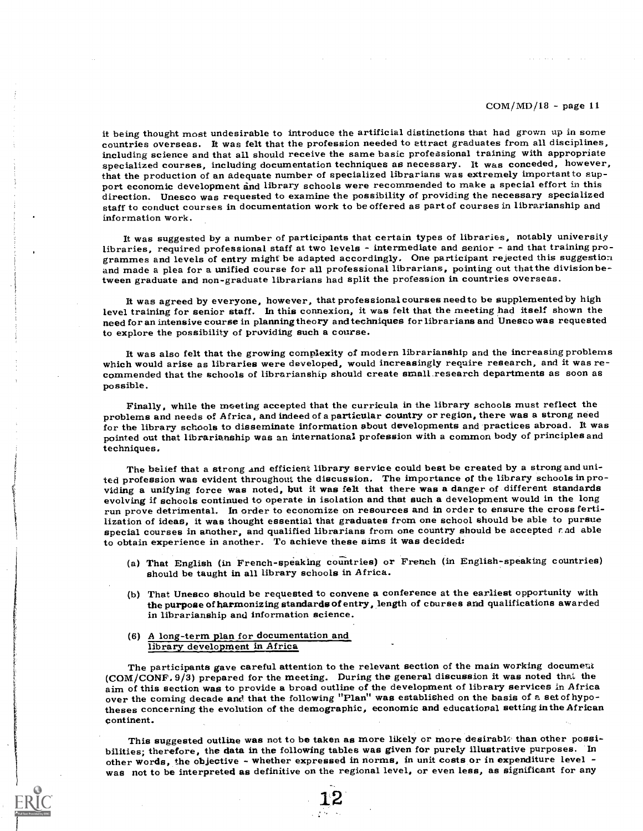it being thought most undesirable to introduce the artificial distinctions that had grown up in some countries overseas. It was felt that the profession needed to ettract graduates from all disciplines, including science and that all should receive the same basic professional training with appropriate specialized courses, including documentation techniques as necessary. It was conceded, however, that the production of an adequate number of specialized librarians was extremely important to sup- port economic development and library schools were recommended to make a special effort in this direction. Unesco was requested to examine the possibility of providing the necessary specialized staff to conduct courses in documentation work to be offered as part of courses in librarianship and information work.

It was suggested by a number of participants that certain types of libraries, notably university<br>libraries, required professional staff at two levels - intermediate and senior - and that training programmes and levels of entry might be adapted accordingly. One participant rejected this suggestion and made a plea for a unified course for all professional librarians, pointing out that the division between graduate and non-graduate librarians had split the profession in countries overseas.

It was agreed by everyone, however, that professional courses need to be supplemented by high level training for senior staff. In this connexion, it was felt that the meeting had itself shown the need for an intensive course in planning theory and techniques for librarians and Unesco was requested to explore the possibility of providing such a course.

It was also felt that the growing complexity of modern librarianship and the increasing problems<br>which would arise as libraries were developed, would increasingly require research, and it was re-<br>commended that the schools possible.

Finally, while the meeting accepted that the curricula in the library schools must reflect the problems and needs of Africa, and indeed of a particular country or region, there was a strong need for the library schools to disseminate information about developments and practices abroad. It was pointed out that librarianship was an international profession with a common body of principles and techniques.

The belief that a strong and efficient library service could best be created by a strong and united profession was evident throughout the discussion. The importance of the library schools in providing a unifying force was noted, but it was felt that there was a danger of different standards evolving if schools continued to operate in isolation and that such a development would in the long run prove detrimental. In order to economize on resources and in order to ensure the cross fertilization of ideas, it was thought essential that graduates from one school should be able to pursue special courses in another, and qualified librarians from one country should be accepted  $\varepsilon$  ad able to obtain experience in another. To achieve these aims it was decided:

- (a) That English (in French-speaking countries) or French (in English-speaking countries) should be taught in all library schools in Africa.
- (b) That Unesco should be requested to convene a conference at the earliest opportunity with the purpose of harmonizing standards of entry, length of courses and qualifications awarded in librarianship and information science.
- (6) A long-term plan for documentation and library development in Africa

The participants gave careful attention to the relevant section of the main working document (COM/CONF. 9/3) prepared for the meeting. During the general discussion it was noted that the aim of this section was to provide a broad outline of the development of library services in Africa<br>over the coming decade and that the following "Plan" was established on the basis of a set of hypotheses concerning the evolution of the demographic, economic and educational setting in the African continent.

This suggested outline was not to be taken as more likely or more desirable than other possibilities; therefore, the data in the following tables was given for purely illustrative purposes. In other words, the objective - whether expressed in norms, in unit costs or in expenditure level was not to be interpreted as definitive on the regional level, or even less, as significant for any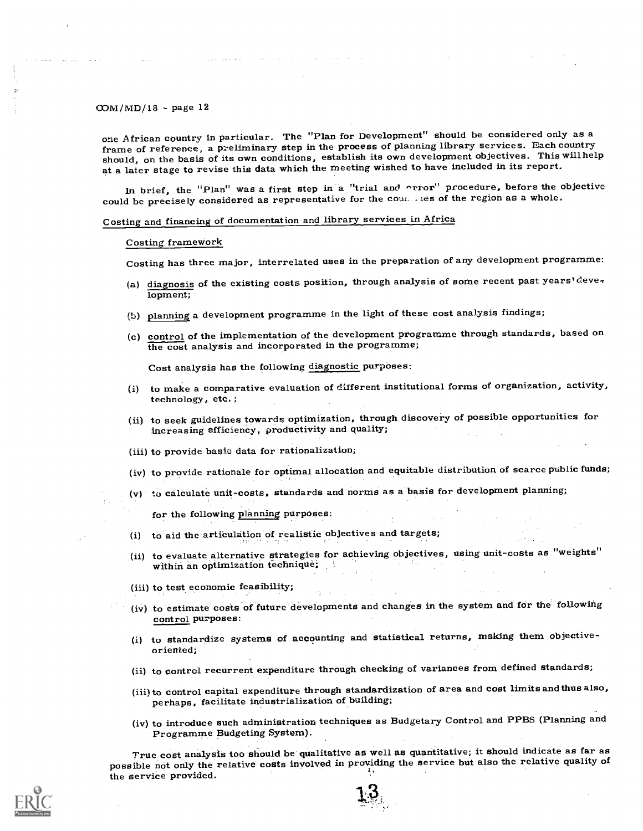one African country in particular, The "Plan for Development" should be considered only as a frame of reference, a preliminary step in the process of planning library services. Each country should, on the basis of its own conditions, establish its own development objectives. This will help at a later stage to revise this data which the meeting wished to have included in its report.

In brief, the "Plan" was a first step in a "trial and orror" procedure, before the objective could be precisely considered as representative for the countries of the region as a whole.

# Costing and financing of documentation and library services in Africa

#### Costing framework

Costing has three major, interrelated uses in the preparation of any development programme:

- (a) diagnosis of the existing costs position, through analysis of some recent past years' development;
- (b) planning a development programme in the light of these cost analysis findings;
- (c) control of the implementation of the development programme through standards, based on the cost analysis and incorporated in the programme;

Cost analysis has the following diagnostic purposes:

- (i) to make a comparative evaluation of different institutional forms of organization, activity, technology, etc.;
- (ii) to seek guidelines towards optimization, through discovery of possible opportunities for increasing efficiency, productivity and quality;
- (iii) to provide basic data for rationalization;
- (iv) to provide rationale for optimal allocation and equitable distribution of scarce public funds;
- (v) to calculate unit-costs, standards and norms as a basis for development planning;

for the following planning purposes:

- (i) to aid the articulation of realistic objectives and targets;
- (ii) to evaluate alternative strategies for achieving objectives, using unit-costs as "weights" within an optimization technique;
- (iii) to test economic feasibility;
- (iv) to estimate costs of future developments and changes in the system and for the following control purposes:
- (i) to standardize systems of accounting and statistical returns, making them objectiveoriented;
- (ii) to control recurrent expenditure through checking of variances from defined standards;
- (iii) to control capital expenditure through standardization of area and cost limits and thus also, perhaps, facilitate industrialization of building;
- (iv) to introduce such administration techniques as Budgetary Control and PPBS (Planning and Programme Budgeting System).

 $\boldsymbol{\phi}$ 

True cost analysis too should be qualitative as well as quantitative; it should indicate as far as possible not only the relative costs involved in providing the service but also the relative quality of the service provided.

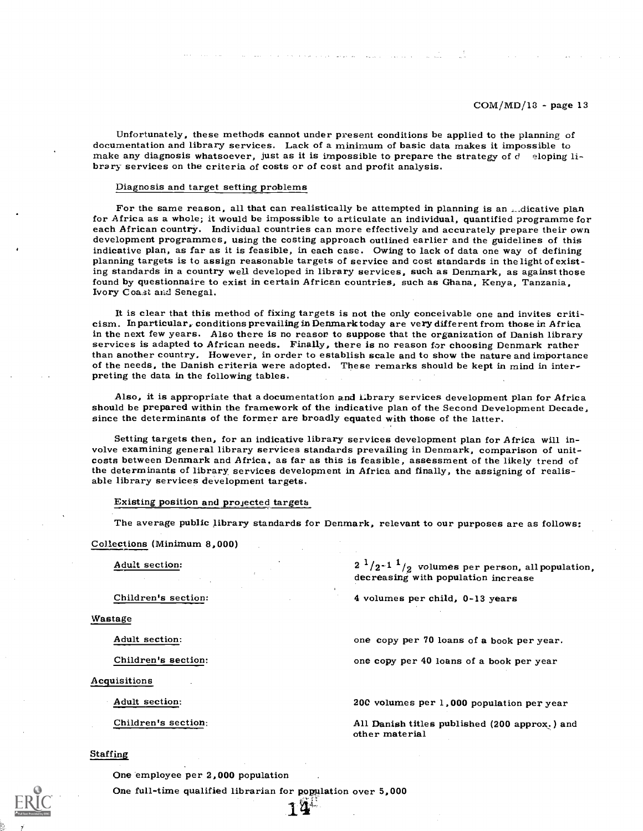Unfortunately, these methods cannot under present conditions be applied to the planning of documentation and library services. Lack of a minimum of basic data makes it impossible to make any diagnosis whatsoever, just as

#### Diagnosis and target setting problems

For the same reason, all that can realistically be attempted in planning is an ...dicative plan for Africa as a whole; it would be impossible to articulate an individual, quantified programme for<br>each African country. Individual countries can more effectively and accurately prepare their own<br>development programmes, u indicative plan, as far as it is feasible, in each case. Owing to lack of data one way of defining planning targets is to assign reasonable targets of service and cost standards in the light of existing standards in a country well developed in library services, such as Denmark, as against those found by questionnaire to exist in certain African countries, such as Ghana, Kenya, Tanzania, Ivory Coa.st and Senegal.

It is clear that this method of fixing targets is not the only conceivable one and invites criti- cism. In particular, conditions prevailing in Denmark today are very different from those in Africa in the next few years. Also there is no reason to suppose that the organization of Danish library services is adapted to African needs. Finally, there is no reason for choosing Denmark rather than another country. However, in order to establish scale and to show the nature and importance<br>of the needs, the Danish criteria were adopted. These remarks should be kept in mind in inter-<br>preting the data in the follow

Also, it is appropriate that a documentation and library services development plan for Africa should be prepared within the framework of the indicative plan of the Second Development Decade,<br>since the determinants of the former are broadly equated with those of the latter.

Setting targets then, for an indicative library services development plan for Africa will involve examining general library services standards prevailing in Denmark, comparison of unit-costs between Denmark and Africa, as the determinants of library services development in Africa and finally, the assigning of realis- able library services development targets.

#### Existing position and projected targets

The average public library standards for Denmark, relevant to our purposes are as follows:

#### Collections (Minimum 8,000)

Wastage

Acquisitions

Adult section:  $2^{1}/2^{-1}^{1}/2$  volumes per person, all population, decreasing with population increase

Children's section: 4 volumes per child, 0-13 years

Adult section: **one copy per 70** loans of a book per year.

Children's section: one copy per 40 loans of a book per year

Adult section: 200 volumes per 1,000 population per year

Children's section: All Danish titles published (200 approx.) and other material

Staffing

One employee per 2,000 population

One full-time qualified librarian for population over 5,000

 $14^{4}$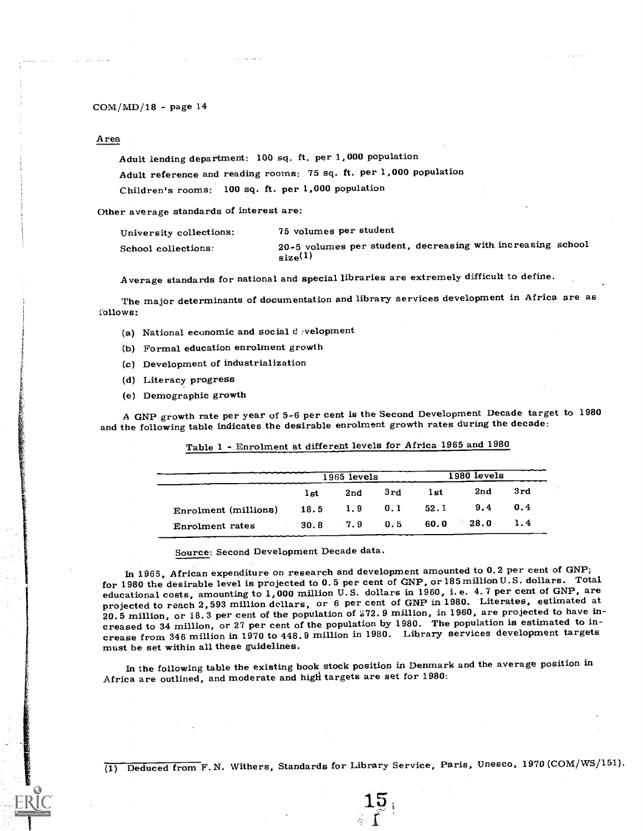#### Area

Adult lending department: 100 sq. ft. per 1,000 population Adult reference and reading rooms: 75 sq. ft. per 1,000 population Children's rooms: 100 sq. ft. per 1,000 population

Other average standards of interest are:

| University collections: | 75 volumes per student                                                      |
|-------------------------|-----------------------------------------------------------------------------|
| School collections:     | 20-5 volumes per student, decreasing with increasing school<br>$_{size}(1)$ |

Average standards for national and special libraries are extremely difficult to define.

The major determinants of documentation and library services development in Africa are as follows:

- (a) National economic and social development
- (b) Formal education enrolment growth
- (c) Development of industrialization
- (d) Literacy progress
- (e) Demographic growth

A GNP growth rate per year of 5-6 per cent is the Second Development Decade target to 1980 and the following table indicates the desirable enrolment growth rates during the decade:

|                        |                     | $1965$ levels |     |      | 1980 levels |     |
|------------------------|---------------------|---------------|-----|------|-------------|-----|
|                        | 1st                 | 2nd           | 3rd | lst  | 2nd         | 3rd |
| Enrolment (millions)   | $18.5$ 1.9 0.1 52.1 |               |     |      | 9.4         | 0.4 |
| <b>Enrolment</b> rates | - 30.8              | $7.9$ 0.5     |     | 60.0 | 28.0        | 1.4 |

Table 1 - Enrolment at different levels for Africa 1965 and 1980

Source: Second Development Decade data.

In 1965, African expenditure on research and development amounted to 0.2 per cent of GNP; for 1980 the desirable level is projected to 0.5 per cent of GNP, or 185million U.S. dollars. Total educational costs, amounting to 1,000 million U.S. dollars in 1960, i.e. 4.7 per cent of GNP, are projected to reach 2,593 million dollars, or 6 per cent of GNP in 1980. Literates, estimated at 20.5 million, or 18.3 per cent of the population of 272.9 million, in 1960, are projected to have increased to 34 million, or 27 per cent of the population by 1980. The population is estimated to increase from 346 million in 1970 to 448.9 million in 1980. Library services development targets must be set within all these guidelines.

In the following table the existing book stock position in Denmark and the average position in Africa are outlined, and moderate and high targets are set for 1980:

(1) Deduced from F. N. Withers, Standards for Library Service, Paris, Unesco, 1970 (COM/WS/151).

15,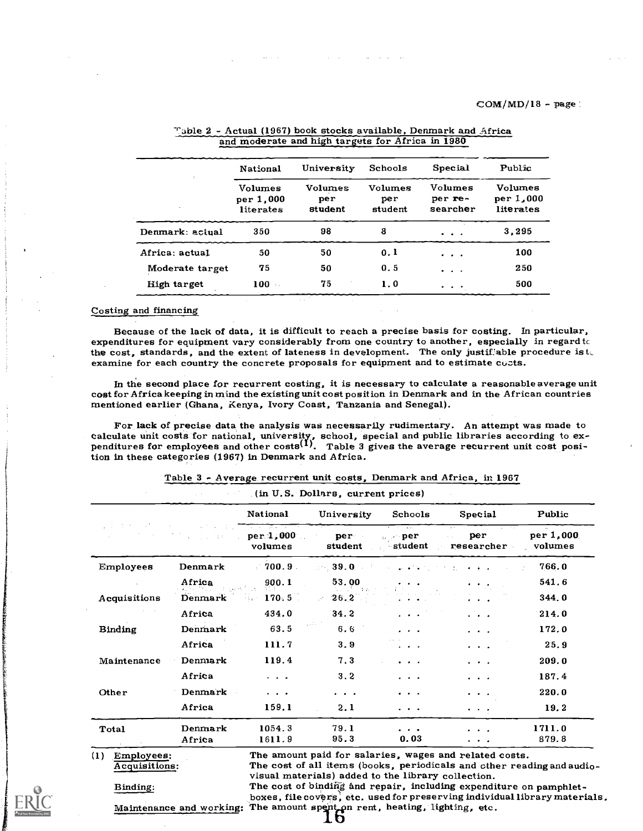|                 | National                                 | University                       | Schools                   | <b>Special</b>                              | Public                            |
|-----------------|------------------------------------------|----------------------------------|---------------------------|---------------------------------------------|-----------------------------------|
|                 | <b>Volumes</b><br>per 1,000<br>literates | <b>Volumes</b><br>per<br>student | Volumes<br>per<br>student | Volumes<br>per re-<br>searcher              | Volumes<br>per 1,000<br>literates |
| Denmark; actual | 350                                      | 98                               | 8                         | $\cdots$                                    | 3,295                             |
| Africa: actual  | 50                                       | 50                               | 0.1                       | $\cdot$ $\cdot$ $\cdot$                     | 100                               |
| Moderate target | 75                                       | 50                               | 0.5                       |                                             | 250                               |
| High target     | $100 -$                                  | 75                               | 1.0                       | $\bullet\qquad \bullet\qquad \bullet\qquad$ | 500                               |

# 7',1b1e 2 - Actual (1967) book stocks available, Denmark and Africa and moderate and high targets for Africa in 1980

#### Costing and financing

Because of the lack of data, it is difficult to reach a precise basis for costing. In particular, expenditures for equipment vary considerably from one country to another, especially in regard tc the cost, standards, and the extent of lateness in development. The only justifiable procedure is  $t_c$  examine for each country the concrete proposals for equipment and to estimate cuzts.

In the second place for recurrent costing, it is necessary to calculate a reasonable average unit cost for Africa keeping in mind the existing unit cost position in Denmark and in the African countries mentioned earlier (G

For lack of precise data the analysis was necessarily rudimentary. An attempt was made to calculate unit costs for national, university, school, special and public libraries according to ex-<br>penditures for employees and other costs<sup>(1)</sup>. Table 3 gives the average recurrent unit cost position in these categories (1967) in Denmark and Africa.

|         | <b>National</b>         | University                                                                                                                                                                                                                               | Schools                              | Special                                                                                                            | Public               |
|---------|-------------------------|------------------------------------------------------------------------------------------------------------------------------------------------------------------------------------------------------------------------------------------|--------------------------------------|--------------------------------------------------------------------------------------------------------------------|----------------------|
|         | volumes                 | per and performance of the performance of the set of the set of the set of the set of the set of the set of the set of the set of the set of the set of the set of the set of the set of the set of the set of the set of the<br>student | 1 <del>.</del><br>$\omega \geq p$ er | per<br>$\mathcal{L}^{\mathcal{A}}$<br>researcher                                                                   | per 1,000<br>volumes |
| Denmark | $-700.9$                | 39.0                                                                                                                                                                                                                                     |                                      | $\bullet \qquad \bullet \qquad \bullet \qquad \bullet \qquad \bullet \qquad \bullet \qquad \bullet \qquad \bullet$ | 766.0                |
| Africa  | 900.1                   | 53.00                                                                                                                                                                                                                                    |                                      | $\bullet$ , $\bullet$ , $\bullet$ .                                                                                | 541.6                |
| Denmark | $-170.5$                | $-26.2$                                                                                                                                                                                                                                  |                                      | $\cdots$                                                                                                           | 344.0                |
| Africa  | 434.0                   | 34.2                                                                                                                                                                                                                                     | $\sim$ $\sim$ $\sim$                 | $\mathcal{L}$ and $\mathcal{L}$                                                                                    | 214.0                |
| Denmark | 63.5                    | 6.6                                                                                                                                                                                                                                      | $\sim$ $\sim$ $\sim$                 | $\cdot$ $\cdot$ $\cdot$                                                                                            | 172.0                |
| Africa  | 111.7                   | 3.9                                                                                                                                                                                                                                      | .                                    | $\cdot$ $\cdot$ $\cdot$                                                                                            | 25.9                 |
| Denmark | 119.4                   | 7.3                                                                                                                                                                                                                                      | .                                    | $\cdot$ $\cdot$ $\cdot$                                                                                            | 209.0                |
| Africa  | $\cdot$ $\cdot$ $\cdot$ | 3.2                                                                                                                                                                                                                                      | .                                    | $\cdot$ $\cdot$ $\cdot$                                                                                            | 187.4                |
| Denmark | $\cdot$ $\cdot$ $\cdot$ | $\cdots$                                                                                                                                                                                                                                 | .                                    | $\cdots$                                                                                                           | 220.0                |
| Africa  | 159.1                   | 2.1                                                                                                                                                                                                                                      | .                                    | $\bullet$ , $\bullet$ , $\bullet$                                                                                  | 19.2                 |
| Denmark | 1054.3                  | 79.1                                                                                                                                                                                                                                     | .                                    | .                                                                                                                  | 1711.0               |
|         |                         | <u>राज्यसम्बन्धाः स्</u><br>a suestitud                                                                                                                                                                                                  | $per 1,000$ .<br>in Dall             | (in U.S. Dollars, current prices)<br>student                                                                       |                      |

Table 3 - Average recurrent unit costs, Denmark and Africa, in 1967



(1) Employees: The amount paid for salaries, wages and related costs.<br>
Acquisitions: The cost of all items (books, periodicals and cther read The cost of all items (books, periodicals and ether reading and audio-<br>visual materials) added to the library collection.<br>The cost of binding and repair, including expenditure on pamphlet-Binding: The cost of binding and repair, including expenditure on pamphlet-<br>boxes, file covers, etc. used for preserving individual library materials.

Maintenance and working: The amount spent on rent, heating, lighting, etc.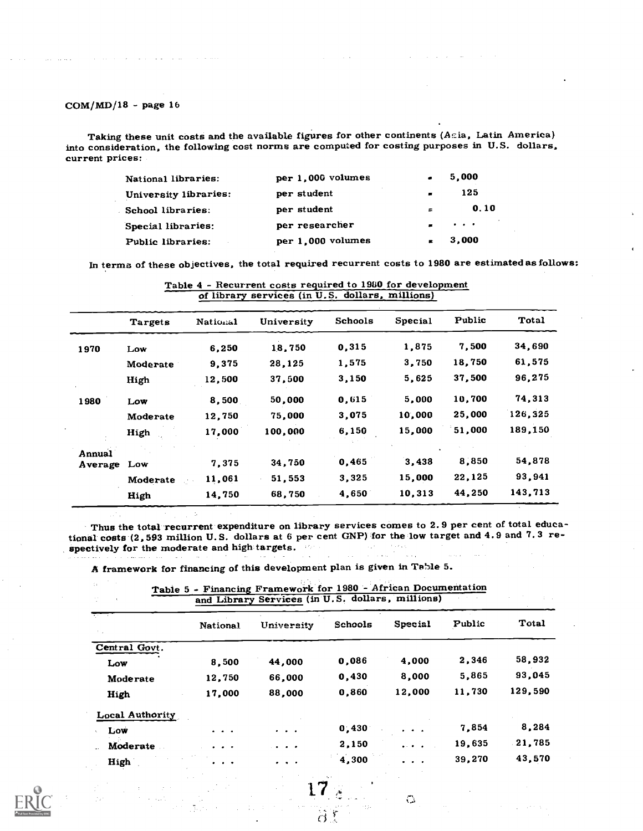Taking these unit costs and the available figures for other continents (Acia, Latin America) into consideration, the following cost norms are computed for costing purposes in U.S. dollars, current prices:

| National libraries:   | per 1,000 volumes | $\bullet$      | 5,000                                          |
|-----------------------|-------------------|----------------|------------------------------------------------|
| University libraries: | per student       | $\blacksquare$ | 125                                            |
| School libraries:     | per student       | $\blacksquare$ | 0.10                                           |
| Special libraries:    | per researcher    |                | $\mathbf{r}$ and $\mathbf{r}$ and $\mathbf{r}$ |
| Public libraries:     | per 1,000 volumes |                | 3,000                                          |

In terms of these objectives, the total required recurrent costs to 1980 are estimated as follows:

|             | of library services (in U.S. dollars, millions) |          |            |         |         |        |         |  |
|-------------|-------------------------------------------------|----------|------------|---------|---------|--------|---------|--|
|             | Targets                                         | National | University | Schools | Special | Public | Total   |  |
| 1970        | Low                                             | 6,250    | 18,750     | 0,315   | 1,875   | 7,500  | 34,690  |  |
|             | Moderate                                        | 9.375    | 28,125     | 1,575   | 3,750   | 18,750 | 61,575  |  |
|             | High                                            | 12,500   | 37,500     | 3,150   | 5,625   | 37,500 | 96,275  |  |
| 1980        | Low                                             | 8,500    | 50,000     | 0.615   | 5,000   | 10,700 | 74,313  |  |
|             | Moderate                                        | 12,750   | 75,000     | 3,075   | 10,000  | 25,000 | 126,325 |  |
|             | High                                            | 17,000   | 100,000    | 6,150   | 15,000  | 51,000 | 189,150 |  |
| Annual      |                                                 |          |            |         |         |        |         |  |
| Average Low |                                                 | 7,375    | 34,750     | 0,465   | 3,438   | 8,850  | 54,878  |  |
|             | Moderate                                        | 11,061   | 51,553     | 3,325   | 15,000  | 22,125 | 93,941  |  |
|             | High                                            | 14,750   | 68,750     | 4,650   | 10,313  | 44,250 | 143,713 |  |
|             |                                                 |          |            |         |         |        |         |  |

Table 4 - Recurrent costs required to 1960 for development

Thus the total recurrent expenditure on library services comes to 2.9 per cent of total educational costs (2,593 million U.S. dollars at 6 per cent GNP) for the low target and 4.9 and 7.3 respectively for the moderate and high targets.  $\sim 10^{10}$ 

**Contract** 

 $\circ$ 

A framework for financing of this development plan is given in Table 5.

|                        |                               | and Library Services (in U.S. dollars, millions)                                            |         |                                                               |        |         |
|------------------------|-------------------------------|---------------------------------------------------------------------------------------------|---------|---------------------------------------------------------------|--------|---------|
| of the                 | <b>National</b>               | University                                                                                  | Schools | Special                                                       | Public | Total   |
| Central Govt.          |                               |                                                                                             |         |                                                               |        |         |
| Low                    | 8,500                         | 44,000                                                                                      | 0,086   | 4,000                                                         | 2,346  | 58,932  |
| Moderate               | 12,750                        | 66,000                                                                                      | 0,430   | 8,000                                                         | 5,865  | 93,045  |
| High                   | 17,000                        | 88,000                                                                                      | 0,860   | 12,000                                                        | 11,730 | 129,590 |
| <b>Local Authority</b> |                               |                                                                                             |         |                                                               |        |         |
| Low                    | $\bullet$ $\bullet$ $\bullet$ | $\begin{array}{cccccccccccccc} \bullet & \bullet & \bullet & \bullet & \bullet \end{array}$ | 0.430   | $\sim$                                                        | 7.854  | 8,284   |
| Moderate               | $\cdot$ $\cdot$               | $\cdots$                                                                                    | 2,150   | $\mathbf{a} \times \mathbf{a} = \mathbf{a} \times \mathbf{b}$ | 19,635 | 21,785  |
| High                   | $\cdots$                      | $- - -$                                                                                     | 4,300   |                                                               | 39,270 | 43,570  |

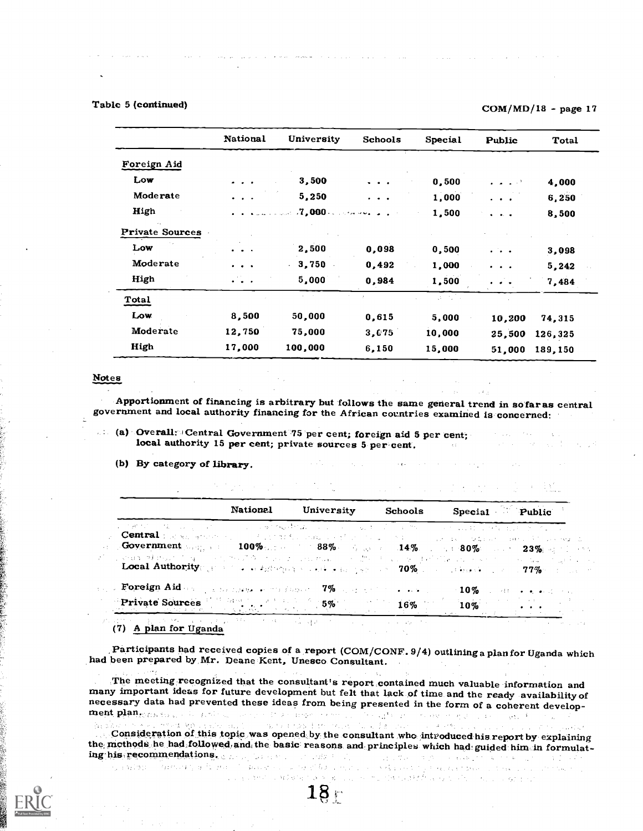# Table 5 (continued)  $COM/MD/18$  - page 17

|                        | National                                                                      | University                                                                          | <b>Schools</b>                                                                              | Special | Public                                 | Total   |
|------------------------|-------------------------------------------------------------------------------|-------------------------------------------------------------------------------------|---------------------------------------------------------------------------------------------|---------|----------------------------------------|---------|
| Foreign Aid            |                                                                               |                                                                                     |                                                                                             |         |                                        |         |
| Low                    |                                                                               | 3,500                                                                               | $\bullet$ . $\bullet$                                                                       | 0,500   |                                        | 4,000   |
| Moderate               |                                                                               | 5,250                                                                               | $\begin{array}{cccccccccccccc} \bullet & \bullet & \bullet & \bullet & \bullet \end{array}$ | 1,000   | .                                      | 6,250   |
| High                   |                                                                               | $\mathbb{Z}_{2}$ . The contract $\mathbb{Z}_{2}$ 000 contracts for $\mathbb{Z}_{2}$ |                                                                                             | 1,500   | $\bullet$ . $\bullet$ . $\bullet$      | 8,500   |
| <b>Private Sources</b> |                                                                               |                                                                                     |                                                                                             |         |                                        |         |
| Low                    | $\bullet$ $\bullet$                                                           | 2,500                                                                               | 0,098                                                                                       | 0,500   | $\mathbf{r}$ . The set of $\mathbf{r}$ | 3,098   |
| Moderate               | $\begin{array}{cccccccccc} \bullet & \bullet & \bullet & \bullet \end{array}$ | 3,750                                                                               | 0,492                                                                                       | 1,000   | $\cdot$ $\cdot$ $\cdot$                | 5,242   |
| High                   | $\ddotsc$                                                                     | 5,000                                                                               | 0,984                                                                                       | 1,500   | .                                      | 7,484   |
| Total                  |                                                                               |                                                                                     |                                                                                             | a ni k  |                                        |         |
| Low.                   | 8,500                                                                         | 50,000                                                                              | 0.615                                                                                       | 5,000   | 10,200                                 | 74,315  |
| Moderate               | 12,750                                                                        | 75,000                                                                              | 3,075                                                                                       | 10,000  | 25,500                                 | 126,325 |
| High                   | 17,000                                                                        | 100,000                                                                             | 6,150                                                                                       | 15,000  | 51,000                                 | 189,150 |

#### Notes

Apportionment of financing is arbitrary but follows the same general trend in so far as central government and local authority financing for the African countries examined is concerned:

(a) Overall: +Central Government 75 per cent; foreign aid 5 per cent; local authority 15 per cent; private sources 5 per cent.

(b) By category of library.

| <b>National</b> | University | Schools | Special Public                                                                                                                                                                                                                                                                                                                                                                                                                                                                                                                                                                                                                                                                                                                                       |
|-----------------|------------|---------|------------------------------------------------------------------------------------------------------------------------------------------------------------------------------------------------------------------------------------------------------------------------------------------------------------------------------------------------------------------------------------------------------------------------------------------------------------------------------------------------------------------------------------------------------------------------------------------------------------------------------------------------------------------------------------------------------------------------------------------------------|
|                 |            |         | ,这都能够一样的,这一时间,一个人的身体 <b>的现在分词</b> ,可以说,一般事实是一个人的人的人,可以说出来, <mark>只要在</mark> 自己的人的人们<br><b>Central</b> pages and the contract of the magnetic conduction of the contract of the conduction and the conduction<br><b>Government</b> energy and $100\%$ and $0.88\%$ and $0.14\%$ and $0.80\%$ and $0.23\%$ and $0.14\%$<br>a start Mathematic approximate of the second constraince of the character of performance of experimental computational<br><b>Local Authority</b> ( $\frac{1}{2}$ ) of the state operator is stated as $\frac{1}{2}$ and $\frac{1}{2}$ $\frac{1}{2}$ $\frac{1}{2}$ $\frac{1}{2}$ $\frac{1}{2}$ $\frac{1}{2}$ $\frac{1}{2}$ $\frac{1}{2}$ $\frac{1}{2}$ $\frac{1}{2}$ $\frac{1}{2}$ $\frac{1}{2}$ $\frac{1}{2}$ $\frac{1}{2}$ |
|                 |            |         | . Foreign Aid and proportions of the factor $7\%$ applied to the contract of $10\%$ of the orientation<br>Private Sources 5% 16% 10%                                                                                                                                                                                                                                                                                                                                                                                                                                                                                                                                                                                                                 |

(7) A plan for Dganda

Participants had received copies of a report (COM/CONF. 9/4) outlininga plan for Uganda which had been prepared by Mr. Deane Kent, Unesco Consultant.

The meeting recognized that the consultant's report contained much valuable information and<br>many important ideas for future development but felt that lack of time and the ready availability of<br>necessary data had prevented

Consideration of this topic was opened by the consultant who introduced his report by explaining the methods he had,followed,andi the basic reasons and principles which had,guided him in formulating his.recommendations.

เทพมารถพลังเดียว และตาม รถแกรม พระเทศ และสิทธิ์ และตาม กลับ และตาม อยู่ทะ หน  $18 -$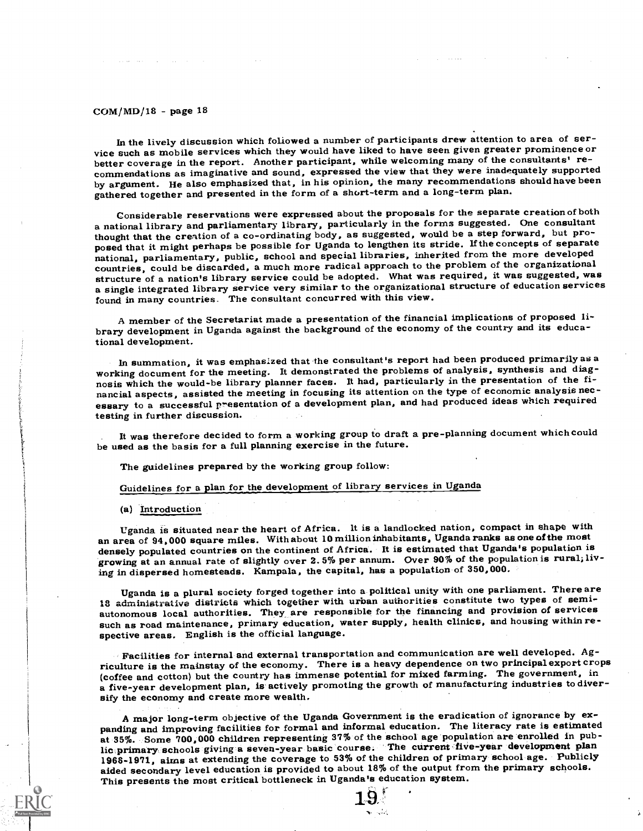In the lively discussion which followed a number of participants drew attention to area of service such as mobile services which they would have liked to have seen given greater prominence or better coverage in the report. Another participant, while welcoming many of the consultants' recommendations as imaginative and sound, expressed the view that they were inadequately supported by argument. He also emphasized that, in his opinion, the many recommendations should have been gathered together and presented in the form of a short-term and a long-term plan.

Considerable reservations were expressed about the proposals for the separate creation of both a national library and parliamentary library, particularly in the forms suggested. One consultant thought that the creation of a co-ordinating body, as suggested, would be a step forward, but proposed that it might perhaps be possible for Uganda to lengthen its stride. If the concepts of separate national, parliamentary, public, school and special libraries, inherited from the more developed countries, could be discarded, a much more radical approach to the problem of the organizational structure of a nation's library service could be adopted. What was required, it was suggested, was a single integrated library service very similar to the organizational structure of education services found in many countries. The consultant concurred with this view.

A member of the Secretariat made a presentation of the financial implications of proposed library development in Uganda against the background of the economy of the country and its educational development.

In summation, it was emphasized that the consultant's report had been produced primarily as a working document for the meeting. It demonstrated the problems of analysis, synthesis and diagnosis which the would-be library planner faces. It had, particularly in the presentation of the financial aspects, assisted the meeting in focusing its attention on the type of economic analysis necessary to a successful presentation of a development plan, and had produced ideas which required testing in further discussion.

It was therefore decided to form a working group to draft a pre-planning document which could be used as the basis for a full planning exercise in the future.

The guidelines prepared by the working group follow:

Guidelines for a plan for the development of library services in Uganda

(a) Introduction

Uganda is situated near the heart of Africa. It is a landlocked nation, compact in shape with an area of 94,000 square miles. With about 10million inhabitants, Uganda ranks as one of the most densely populated countries on the continent of Africa. It is estimated that Uganda's population is growing at an annual rate of slightly over 2. 5% per annum. Over 90% of the population is rural; living in dispersed homesteads. Kampala, the capital, has a population of 350,000.

Uganda is a plural society forged together into a political unity with one parliament. There are 18 administrative districts which together with urban authorities constitute two types of semiautonomous local authorities. They are responsible for the financing and provision of services such as road maintenance, primary education, water supply, health clinics, and housing within respective areas. English is the official language.

Facilities for internal and external transportation and communication are well developed. Agriculture is the mainstay of the economy. There is a heavy dependence on two principalexport crops (coffee and cotton) but the country has immense potential for mixed farming. The government, in a five-year development plan, is actively promoting the growth of manufacturing industries to diversify the economy and create more wealth.

A major long-term objective of the Uganda Government is the eradication of ignorance by expanding and improving facilities for formal and informal education. The literacy rate is estimated at 35%. Some 700,000 children representing 37% of the school age population are enrolled in public primary schools giving a seven-year basic course. The current five-year development plan 1968-1971, aims at extending the coverage to 53% of the children of primary school age. Publicly aided secondary level education is provided to about 18% of the output from the primary schools. This presents the most critical bottleneck in Uganda's education system.

1-9,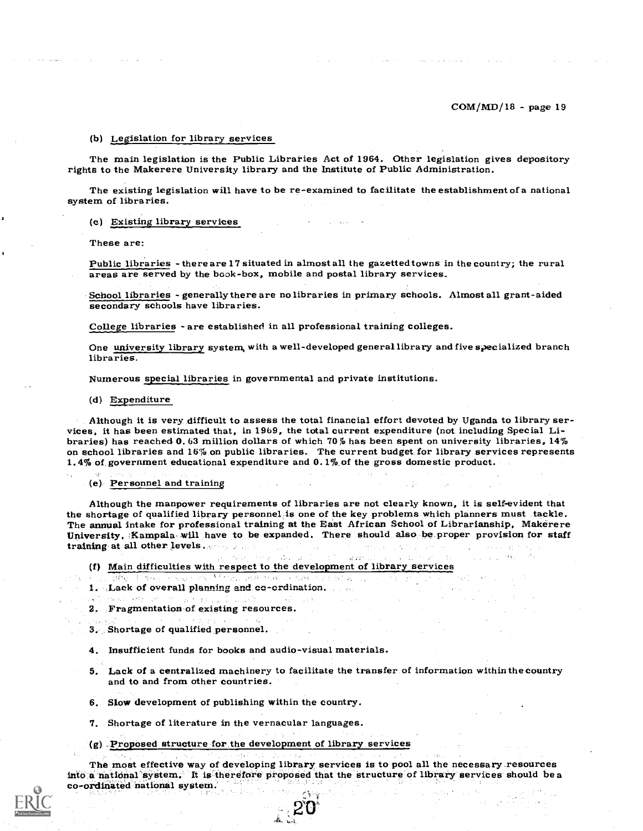#### (b) Legislation for library services

The main legislation is the Public Libraries Act of 1964. Other legislation gives depository rights to the Makerere University library and the Institute of Public Administration.

The existing legislation will have to be re-examined to facilitate the establishment of a national system of libraries.

#### (c) Existing library services

These are:

Public libraries - there are 17 situated in almost all the gazetted towns in the country; the rural areas are served by the book-box, mobile and postal library services.

School libraries - generally there are no libraries in primary schools. Almost all grant-aided secondary schools have libraries.

College libraries - are established in all professional training colleges.

One university library system, with a well-developed generallibrary and five specialized branch libraries.

Numerous special libraries in governmental and private institutions.

#### (d) Expenditure

Although it is very difficult to assess the total financial effort devoted by Uganda to library services, it has been estimated that, in 1969, the total current expenditure (not including Special Libraries) has reached 0. on school libraries and 16% on public libraries. The current budget for library services represents 1.4% of government educational expenditure and 0.1% of the gross domestic product.

#### (e) Personnel and training

Although the manpower requirements of libraries are not clearly known, it is self-evident that<br>the shortage of qualified library personnel is one of the key problems which planners must tackle.<br>The annual intake for profes training at all other levels.

(f) Main difficulties with respect to the development of library services

- 
- 1. Lack of overall planning and co-ordination.
- 2. Fragmentation of existing resources.

3. Shortage of qualified personnel.

4. Insufficient funds for books and audio-visual materials.

5. Lack of a centralized machinery to facilitate the transfer of information within the country and to and from other countries.

6. Slow development of publishing within the country.

7. Shortage of literature in the vernacular languages.

(g) Proposed structure for the development of library services

The most effective way of developing library services is to pool all the necessary resources into a national system. It is therefore proposed that the structure of library services should be a co-ordinated national system.

aCY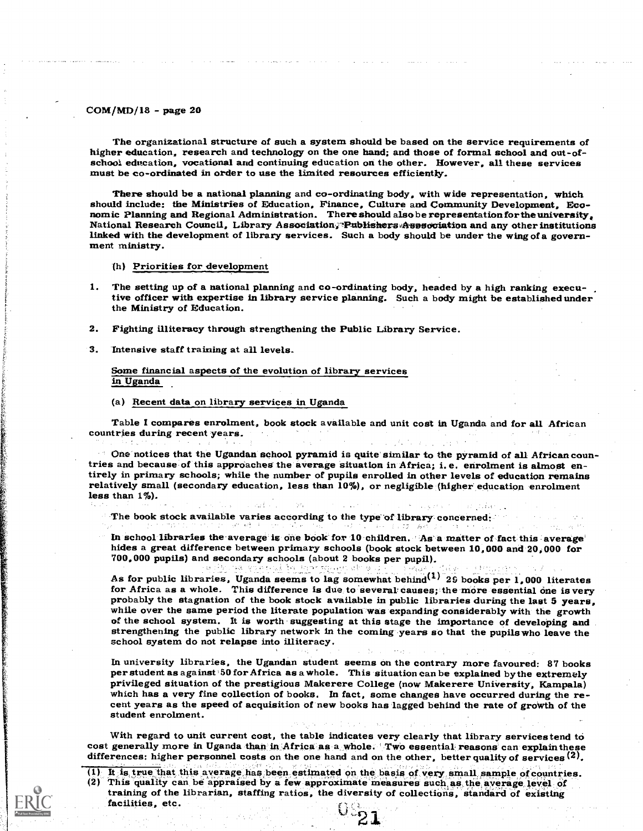The organizational structure of such a system should be based on the service requirements of higher education, research and technology on the one hand; and those of formal school and out-of-school education, vocational and

There should be a national planning and co-ordinating body, with wide representation, which should include: the Ministries of Education, Finance, Culture and Community Development. Economic Planning and Regional Administration. There should also be representation for the university, National Research Council, Library Association, Publishers Association and any other institutions linked with the development of library services. Such a body should be under the wing of a govern- ment ministry.

(h) Priorities for development

- 1. The setting up of a national planning and co-ordinating body, headed by a high ranking executive officer with expertise in library service planning. Such a body might be established under the Ministry of Education.
- 2. Fighting illiteracy through strengthening the Public Library Service.
- 3. Intensive staff training at all levels.

The complete of the complete of the complete of the complete of the complete of the complete of the complete o

#### Some financial aspects of the evolution of library services in Uganda\_

(a) Recent data on library services in Uganda

Table I compares enrolment, book stock available and unit cost in Uganda and for all African countries during recent years.

 $\degree$  One notices that the Ugandan school pyramid is quite similar to the pyramid of all African countries and because of this approaches the average situation in Africa; i. e. enrolment is almost entirely in primary schools; while the number of pupils enrolled in other levels of education remains relatively small (secondary education, less than 10%), or negligible (higher education enrolment less than  $1\%$ ). and a c

 $\langle \rangle^{\mu}$  . The book stock available varies according to the type of library concerned:

In school libraries the average is one book for 10 children. As a matter of fact this average hides a great difference between primary schools (book stock between 10,000 and 20,000 for 700,000 pupils) and secondary schools

ori Tirke

As for public libraries, Uganda seems to lag somewhat behind<sup>(1)</sup> 25 books per 1,000 literates for Africa as a whole. This difference is due to several causes; the more essential one is very<br>probably the stagnation of the book stock available in public libraries during the last 5 years. while over the same period the literate population was expanding considerably with the growth of the school system. It is worth suggesting at this stage the importance of developing and strengthening the public library network in the coming years so that the pupils who leave the school system do not relapse into illiteracy.

In university libraries, the Ugandan student seems on the contrary more favoured: 87 books<br>per student as against 50 for Africa as a whole. This situation can be explained by the extremely<br>privileged situation of the prest student enrolment.

With regard to unit current cost, the table indicates very clearly that library services tend to cost generally more in Uganda than in Africa as a whole. Two essential reasons can explain these differences: higher personnel costs on the one hand and on the other, better quality of services  $(2)$ .

 $(1)$  It is true that this average has been estimated on the basis of very small sample of countries.<br>(2) This quality can be appraised by a few approximate measures such as the average level of training of the librarian, staffing ratios, the diversity of collections, standard of existing facilities, etc.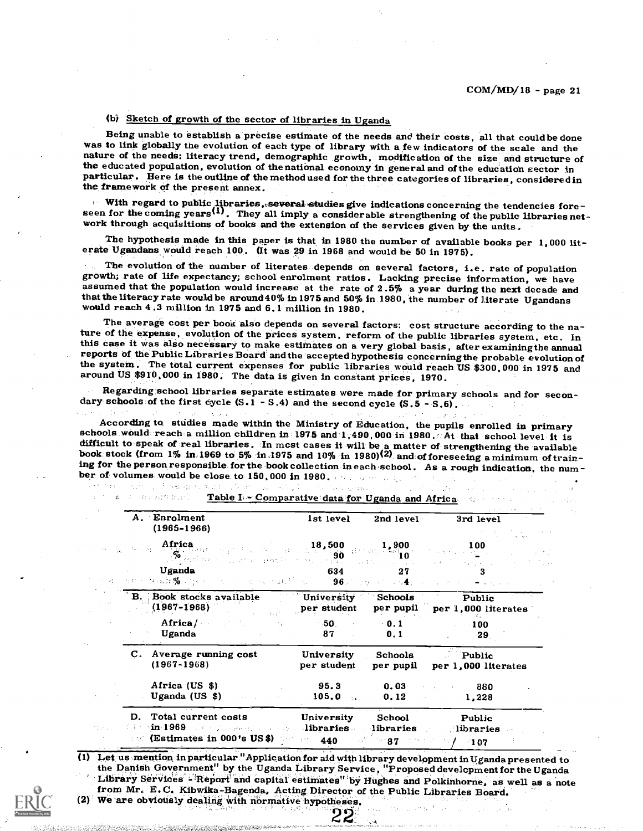# (b) Sketch of growth of the sector of libraries in Uganda

Being unable to establish a precise estimate of the needs and their costs, all that could be done<br>was to link globally the evolution of each type of library with a few indicators of the scale and the<br>nature of the needs: l particular. Here is the outline of the method used for the three categories of libraries, considered in the framework of the present annex.

With regard to public libraries, several studies give indications concerning the tendencies fore-<br>seen for the coming years<sup>(1)</sup>. They all imply a considerable strengthening of the public libraries net-<br>work through acqui

The hypothesis made in this paper is that in 1980 the number of available books per 1,000 lit- erate Ugandans would reach 100. (It was 29 in 1968 and would be 50 in 1975).

The evolution of the number of literates depends on several factors, i.e. rate of population growth; rate of life expectancy; school enrolment ratios. Lacking precise information, we have assumed that the population would that the literacy rate would be around 40% in 1975 and 50% in 1980, the number of literate Ugandans would reach 4.3 million in 1975 and 6.1 million in 1980.

The average cost per book also depends on several factors: cost structure according to the nature of the expense, evolution of the prices system, reform of the public libraries system, etc. In this case it was also necessa

Regarding school libraries separate estimates were made for primary schools and for secon-<br>dary schools of the first cycle (S.1 - S.4) and the second cycle (S.5 - S.6).

According to studies made within the Ministry of Education, the pupils enrolled in primary<br>schools would reach a million children in 1975 and 1,490,000 in 1980. At that school level it is<br>difficult to speak of real librar

 $5.7333$ 

 $\mathcal{L}(\mathbf{t})$ 

 $\hat{f} = \hat{f}$  as

| A. Enrolment<br>$(1965 - 1966)$                                                                                                 |               | lst level                                                                                                                                                                                                                                                                                                                                                                   | 2nd level                         | 3rd level                     |  |
|---------------------------------------------------------------------------------------------------------------------------------|---------------|-----------------------------------------------------------------------------------------------------------------------------------------------------------------------------------------------------------------------------------------------------------------------------------------------------------------------------------------------------------------------------|-----------------------------------|-------------------------------|--|
|                                                                                                                                 | Africa 18,500 | $\begin{picture}(180,10) \put(0,0){\vector(1,0){180}} \put(0,0){\vector(1,0){180}} \put(0,0){\vector(1,0){180}} \put(0,0){\vector(1,0){180}} \put(0,0){\vector(1,0){180}} \put(0,0){\vector(1,0){180}} \put(0,0){\vector(1,0){180}} \put(0,0){\vector(1,0){180}} \put(0,0){\vector(1,0){180}} \put(0,0){\vector(1,0){180}} \put(0,0){\vector(1,0){180}} \put(0,0){\vector($ | 1,900<br>`1 O                     | 100<br><b>Contractor</b>      |  |
| Uganda<br>A G in the bit $\%$ . Specifically, the constraint of the constraints of $96$ . The graph of the space $4$ properties |               | 634                                                                                                                                                                                                                                                                                                                                                                         | 27                                |                               |  |
| Book stocks available<br>$(1967 - 1968)$                                                                                        |               | <b>University</b><br>per student                                                                                                                                                                                                                                                                                                                                            | Schools<br>per pupil              | Public<br>per 1,000 literates |  |
| Africa/<br>Uganda                                                                                                               |               | For the company of the 50 percent<br>87                                                                                                                                                                                                                                                                                                                                     | $-0.1$<br>0.1                     | 100<br>29.                    |  |
| C. Average running cost<br>$(1967 - 1968)$                                                                                      |               | University<br>per student                                                                                                                                                                                                                                                                                                                                                   | Schools<br>per pupil              | Public<br>per 1,000 literates |  |
| Africa (US \$)<br>Uganda (US $$)$                                                                                               |               | 95.3<br>105.0                                                                                                                                                                                                                                                                                                                                                               | 0.03<br>0.12                      | $\sim$ $\sim$ 880<br>1,228    |  |
| D. Total current costs<br>$\sim$ (Estimates in 000's US\$) person 440                                                           |               | University<br>$\min 1969$ . The second constraints of $\lim_{n \to \infty}$ and $\lim_{n \to \infty}$ . The second constraints of $\lim_{n \to \infty}$                                                                                                                                                                                                                     | School<br>The 87 Superior Country | Public<br>libraries<br>$-107$ |  |

 $\mathcal{F}=\mathbf{g}_{\mathrm{max}}\left(\mathbf{g}_{\mathrm{max}}\right)$  and  $\mathbf{g}_{\mathrm{max}}\mathcal{F}$ Table I, - Comparative data for Uganda and Africa

(1) Let us mention in particular "Application for aid with library development in Uganda presented to the Danish Government" by the Uganda Library Service, "Proposed development for the Uganda Library Services - Report and capital estimates" by Hughes and Polkinhorne, as well as a note from Mr. E.C. Kibwika-Bagenda, Acting Director of the Public Libraries Board. (2) We are obviously dealing with normative hypotheses.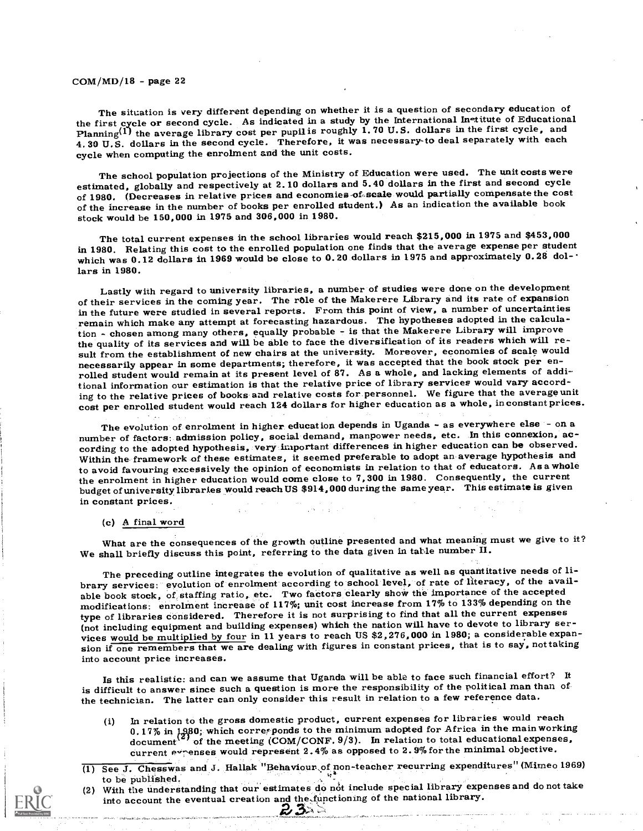The situation is very different depending on whether it is a question of secondary education of the first cycle or second cycle. As indicated in a study by the International In-titute of Educational Planning<sup>(1)</sup> the average library cost per pupil is roughly 1.70 U.S. dollars in the first cycle, and 4.30 U.S. dollars in the second cycle. Therefore, it was necessary-to deal separately with each cycle when computing the enrolment and the unit costs.

The school population projections of the Ministry of Education were used. The unit costs were estimated, globally and respectively at 2.10 dollars and 5.40 dollars in the first and second cycle of 1980. (Decreases in relative prices and economies-of-scale would partially compensate the cost of the increase in the number of books per enrolled student.) As an indication the available book stock would be 150,000 in 1975 and 306,000 in 1980.

The total current expenses in the school libraries would reach \$215,000 in 1975 and \$453,000 in 1980. Relating this cost to the enrolled population one finds that the average expense per student which was 0.12 dollars in 1969 would be close to 0.20 dollars in 1975 and approximately 0.28 dol- $\cdot$ lars in 1980.

Lastly with regard to university libraries, a number of studies were done on the development of their services in the coming year. The rôle of the Makerere Library and its rate of expansion in the future were studied in several reports. From this point of view, a number of uncertainties remain which make any attempt at forecasting hazardous. The hypotheses adopted in the calculation - chosen among many others, equally probable - is that the Makerere Library will improve the quality of its services and will be able to face the diversification of its readers which will result from the establishment of new chairs at the university. Moreover, economies of scale would necessarily appear in some departments; therefore, it was accepted that the book stock per enrolled student would remain at its present level of 87. As a whole, and lacking elements of additional information our estimation is that the relative price of library services would vary according to the relative prices of books and relative costs for personnel. We figure that the average unit cost per enrolled student would reach 124 dollars for higher education as a whole, inconstant prices.

The evolution of enrolment in higher education depends in Uganda - as everywhere else - on a number of factors: admission policy, social demand, manpower needs, etc. In this connexion, according to the adopted hypothesis, very important differences in higher education can be observed. Within the framework of these estimates, it seemed preferable to adopt an average hypothesis and to avoid favouring excessively the opinion of economists in relation to that of educators. Asa whole the enrolment in higher education would come close to 7,300 in 1980. Consequently, the current budget of university libraries would reach US \$914,000 during the same year. This estimate is given in constant prices.

### (c) A final word

What are the consequences of the growth outline presented and what meaning must we give to it? We shall briefly discuss this point, referring to the data given in table number II.

The preceding outline integrates the evolution of qualitative as well as quantitative needs of library services: evolution of enrolment according to school level, of rate of literacy, of the available book stock, of staffing ratio, etc. Two factors clearly show the importance of the accepted modifications: enrolment increase of 117%; unit cost increase from 17% to 133% depending on the type of libraries considered. Therefore it is not surprising to find that all the current expenses (not including equipment and building expenses) which the nation will have to devote to library services would be multiplied by four in 11 years to reach US \$2,276,000 in 1980; a considerable expansion if one remembers that we are dealing with figures in constant prices, that is to say, not taking into account price increases.

Is this realistic: and can we assume that Uganda will be able to face such financial effort? It is difficult to answer since such a question is more the responsibility of the political man than of the technician. The latter can only consider this result in relation to a few reference data.

- (i) In relation to the gross domestic product, current expenses for libraries would reach  $0.17\%$  in  $1.980$ ; which corresponds to the minimum adopted for Africa in the main working  $\frac{d}{d}$  of the meeting  $\frac{1}{d}$ COM/CONF. 9/3). In relation to total educational expenses, current expenses would represent  $2.4\%$  as opposed to  $2.9\%$  for the minimal objective.
- (1) See J. Chesswas and J. Hallak "Behaviour of non-teacher recurring expenditures" (Mimeo 1969)
- to be published. (2) With the understanding that our estimates do not include special library expenses and do not take into account the eventual creation and the functioning of the national library.  $23$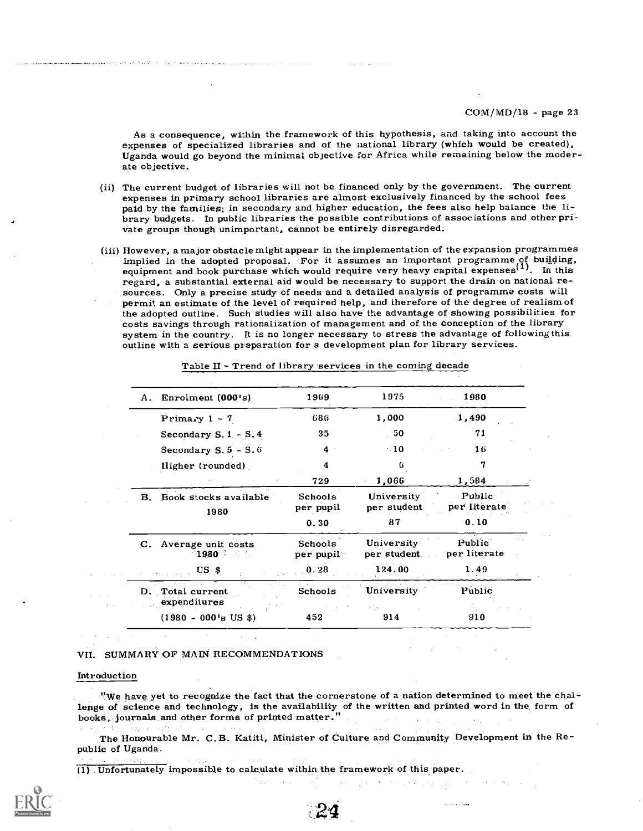As a consequence, within the framework of this hypothesis, and taking into account the expenses of specialized libraries and of the national library (which would be created), Uganda would go beyond the minimal objective fo ate objective.

- (ii) The current budget of libraries will not be financed only by the government. The current expenses in primary school libraries are almost exclusively financed by the school fees paid by the families; in secondary and h brary budgets. In public libraries the possible contributions of associations and other pri-<br>vate groups though unimportant, cannot be entirely disregarded.
- (iii) However, a major obstacle might appear in the implementation of the expansion programmes implied in the adopted proposal. For it assumes an important programme of building, equipment and book purchase which would require very heavy capital expenses<sup>(1)</sup>. In this regard, a substantial external aid would be necessary to support the drain on national resources. Only a precise study of needs and a detailed analysis of programme costs will permit an estimate of the level of required help, and therefore of the degree of realism of the adopted outline. Such studies will also costs savings through rationalization of management and of the conception of the library system in the country. It is no longer necessary to stress the advantage of following this outline with a serious preparation for a development plan for library services.

| Enrolment (000's)<br>А.                                                         | 1969                 | 1975                       | 1980                   |
|---------------------------------------------------------------------------------|----------------------|----------------------------|------------------------|
| Primary $1 - 7$                                                                 | 686                  | 1,000                      | 1,490                  |
| Secondary $S.1 - S.4$                                                           | 35                   | 50                         | 71                     |
| Secondary $S.5 - S.6$                                                           | 4                    | $\cdot$ 10                 | 16                     |
| Higher (rounded)                                                                | 4                    | 6                          | 7                      |
|                                                                                 | 729                  | 1,066                      | 1,584                  |
| Book stocks available<br>В.<br>1980                                             | Schools<br>per pupil | University<br>per student  | Public<br>per literate |
|                                                                                 | 0.30                 | 87                         | 0.10                   |
| C. Average unit costs<br>$\triangle$ 1980 $\triangleright$ and $\triangleright$ | Schools<br>per pupil | University<br>per student. | Public<br>per literate |
| $US$ \$                                                                         | 0.28                 | .124.00                    | 1.49                   |
| D. Total current<br>expenditures                                                | Schools              | University                 | Public                 |
| $(1980 - 000 \text{ s US }$ \$)                                                 | 452                  | 914                        | 910                    |

Table II - Trend of library services in the coming decade

### VII. SUMMARY OF MAIN RECOMMENDATIONS

#### Introduction

"We have yet to recognize the fact that the cornerstone of a nation determined to meet the challenge of science and technology, is the availability of the written and printed word in the form of books, journals and other forms of printed matter."

The Honourable Mr. C.B. Katiti, Minister of Culture and Community Development in the Republic of Uganda.

 $\mathbf 4$ 

(1) Unfortunately impossible to calculate within the framework of this paper.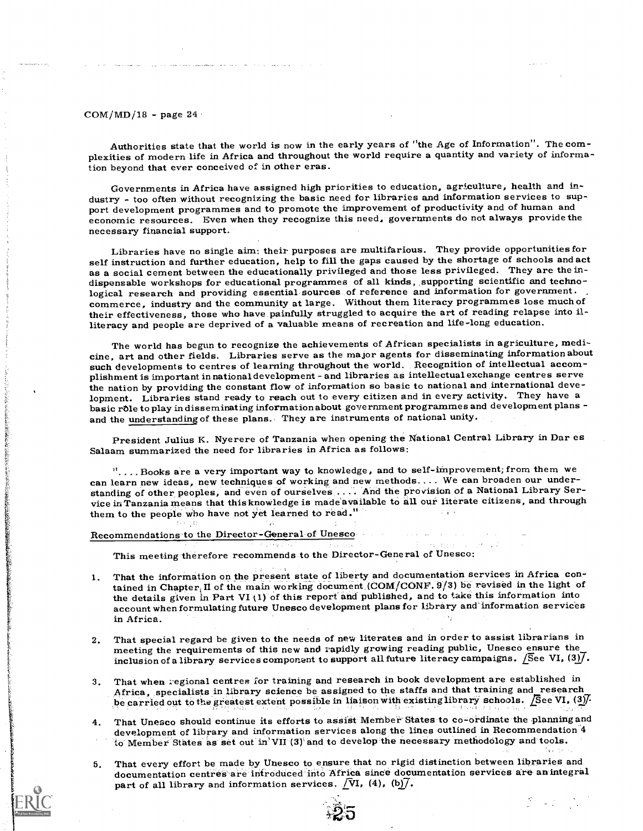Authorities state that the world is now in the early years of "the Age of Information". The complexities of modern life in Africa and throughout the world require a quantity and variety of information beyond that ever conceived of in other eras.

Governments in Africa have assigned high priorities to education, agriculture, health and industry - too often without recognizing the basic need for libraries and information services to support development programmes and economic resources. Even when they recognize this need, governments do not always provide the necessary financial support.

Libraries have no single aim: their purposes are multifarious. They provide opportunities for self instruction and further education, help to fill the gaps caused by the shortage of schools and act as a social cement betwe dispensable workshops for educational programmes of all kinds, supporting scientific and technological research and providing essential sources of reference and information for government. commerce, industry and the community at large. Without them literacy programmes lose much of their effectiveness, those who have painfully struggled to acquire the art of reading relapse into illiteracy and people are deprived of a valuable means of recreation and life-long education.

The world has begun to recognize the achievements of African specialists in agriculture, medicine, art and other fields. Libraries serve as the major agents for disseminating information about such developments to centres of learning throughout the world. Recognition of intellectual accomplishment is important in national development - and libraries as intellectual exchange centres serve the nation by providing the constant flow of information so basic to national and international development. Libraries stand ready to reach out to every citizen and in every activity. They have a basic rôle to play in disseminating information about government programmes and development plans and the understanding of these plans. They are instruments of national unity.

President Julius K. Nyerere of Tanzania when opening the National Central Library in Dar es Salaam summarized the need for libraries in Africa as follows:

VI. . . Books are a very important way to knowledge, and to self-improvement; from them we can learn new ideas, new techniques of working and new methods.... We can broaden our understanding of other peoples, and even of ourselves .... And the provision of a National Library Service in Tanzania means that this knowledge is made available to all our literate citizens, and through them to the people who have not yet learned to read."

#### Recommendations to the Director-General of Unesco

This meeting therefore recommends to the Director-General of Unesco:

- 1. That the information on the present state of liberty and documentation services in Africa contained in Chapter; II of the main working document (COM/CONF. 9/3) be revised in the light of the details given in Part VI $(1)$  of this report and published, and to take this information into account when formulating future Unesco development plans for library and information services in Africa.
- That special regard be given to the needs of new literates and in order to assist librarians in meeting the requirements of this new and rapidly growing reading public, Unesco ensure the inclusion of a library services component to support all future literacy campaigns. See VI,  $(3)$ .
- That when regional centres for training and research in book development are established in Africa, specialists in library science be assigned to the staffs and that training and research be carried out to the greatest extent possible in liaison with existing library schools. [See VI, (3).
- 4. That Unesco should continue its efforts to assist Member States to co-ordinate the planningand development of library and information services along the lines outlined in Recommendation<sup>4</sup> to Member States as set out in'VII (3) and to develop the necessary methodology and tools.
- That every effort be made by Unesco to ensure that no rigid distinction between libraries and documentation centres are introduced into Africa since documentation services are an integral part of all library and information services.  $\sqrt{V}V$ , (4), (b) $\sqrt{7}$ .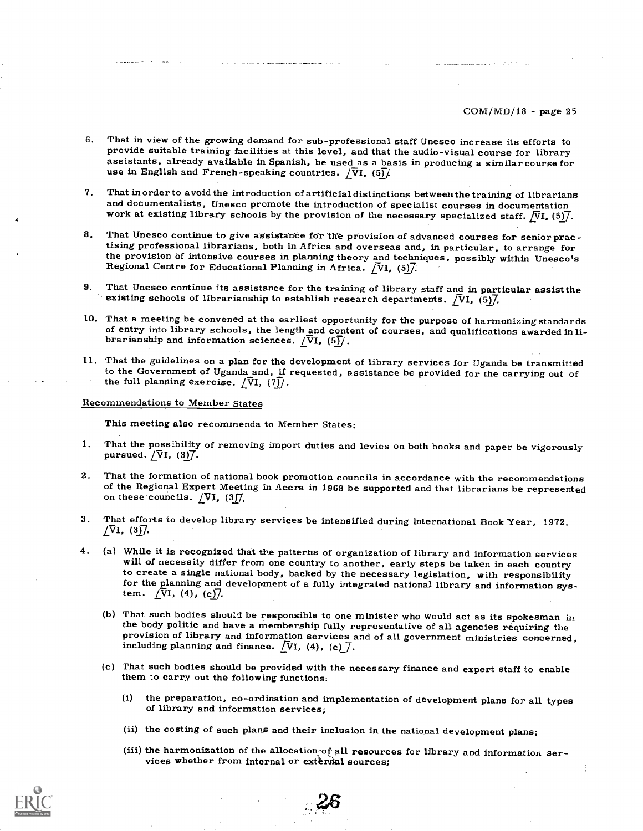- 6. That in view of the growing demand for sub-professional staff Unesco increase its efforts to provide suitable training facilities at this level, and that the audio-visual course for library assistants, already available in Spanish, be used as a basis in producing a similar course for use in English and French-speaking countries.  $\sqrt{V}I$ , (5) $\frac{1}{V}$
- 7. That in order to avoid the introduction of artificial distinctions between the training of librarians work at existing library schools by the provision of the necessary specialized staff.  $NI$ , (5)/.
- 8. That Unesco continue to give assistance for the provision of advanced courses for senior practising professional librarians, both in Africa and overseas and, in particular, to arrange for the provision of intensive courses in planning theory and techniques, possibly within Unesco's Regional Centre for Educational Planning in Africa.  $\sqrt{V}I$ , (5).
- 9. That Unesco continue its assistance for the training of library staff and in particular assist the existing schools of librarianship to establish research departments.  $\overline{N}$ I, (5) $\overline{7}$ .
- 10. That a meeting be convened at the earliest opportunity for the purpose of harmonizing standards of entry into library schools, the length and content of courses, and qualifications awarded in librarianship and informa
- 11. That the guidelines on a plan for the development of library services for Uganda be transmitted to the Government of Uganda and, if requested, assistance be provided for the carrying out of the full planning exercise.  $\sqrt{V}I$ ,  $(7)$ .
- Recommendations to Member States

This meeting also recommenda to Member States:

- 1. That the possibility of removing import duties and levies on both books and paper be vigorously pursued.  $/\overline{V}I$ , (3)7.
- 2. That the formation of national book promotion councils in accordance with the recommendations of the Regional Expert Meeting in Accra in 1968 be supported and that librarians be represented on these councils.  $\sqrt{V}I$ ,
- 3. That efforts to develop library services be intensified during International Book Year, 1972.  $\sqrt{V}$ I, (3)7.
- 4. (a) While it is recognized that the patterns of organization of library and information services will of necessity differ from one country to another, early steps be taken in each country to create a single national body, backed by the necessary legislation, with responsibility for the planning and development of a fully integrated national library and information system.  $\sqrt{V}I$ , (4), (c).
	- (b) That such bodies should be responsible to one minister who would act as its spokesman in the body politic and have a membership fully representative of all agencies requiring the provision of library and information services and of all government ministries concerned, including planning and finance.  $\sqrt{V}V$ , (4), (c)  $\sqrt{ }$ .
	- (c) That such bodies should be provided with the necessary finance and expert staff to enable them to carry out the following functions:
		- (i) the preparation, co-ordination and implementation of development plans for all types of library and information services;
		- (ii) the costing of such plans and their inclusion in the national development plans;
		- (iii) the harmonization of the allocation-of all resources for library and information ser-<br>vices whether from internal or extensial sources;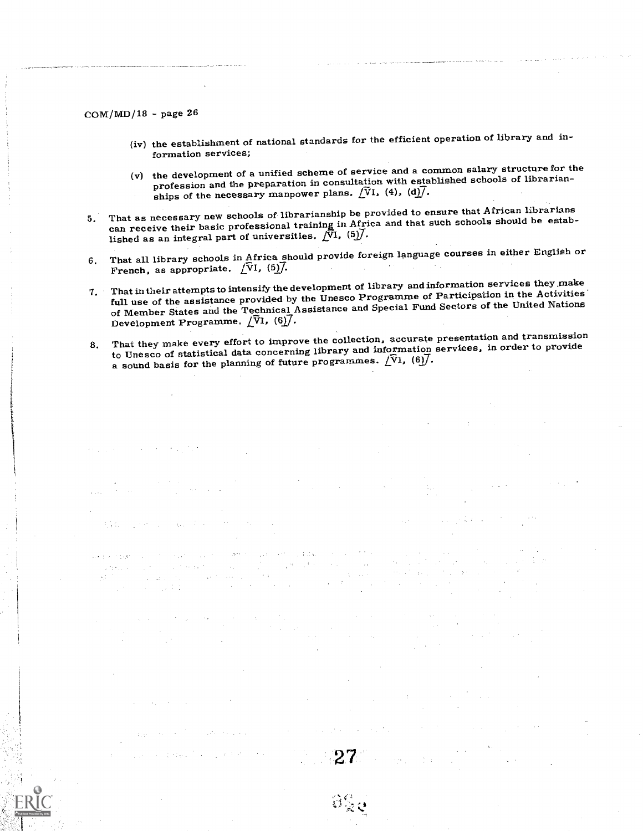- (iv) the establishment of national standards for the efficient operation of library and information services;
- (v) the development of a unified scheme of service and a common salary structure for the profession and the preparation in consultation with established schools of librarianships of the necessary manpower plans.  $\sqrt{V}I$ , (4), (d) $\sqrt{I}$ .
- 5. That as necessary new schools of librarianship be provided to ensure that African librarians can receive their basic professional training in Africa and that such schools should be established as an integral part of universities.  $\[\n\sqrt{\n\mathfrak{N}}\n$ ,  $(5)\n\]\n$ .
- 6. That all library schools in Africa should provide foreign language courses in either English or French, as appropriate.  $\sqrt{V}$ 1, (5) $\sqrt{l}$ .
- 7. That in their attempts to intensify the development of library andinformation services they make full use of the assistance provided by the Unesco Programme of Participation in the Activities' of Member States and the Technical Assistance and Special Fund Sectors of the United Nations Development Programme.  $\sqrt{V}$ I, (6) $\overline{7}$ .
- 8. That they make every effort to improve the collection, accurate presentation and transmission to Unesco of statistical data concerning library and information services, in order to provide a sound basis for the planning of future programmes.  $[\nabla 1, (6)]$ .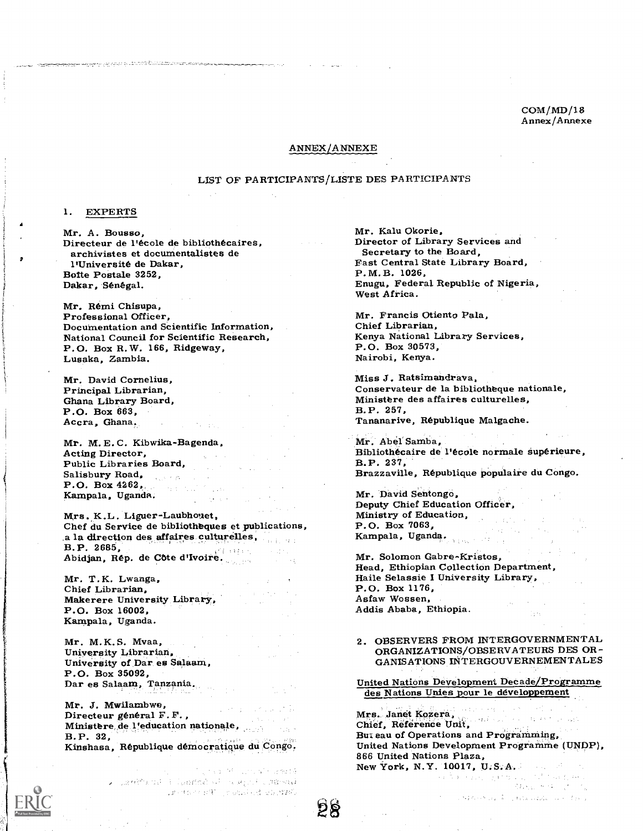COM/MD/18 Annex/Annexe

#### ANNEX/ANNEXE

#### LIST OF PARTICIPANTS/LISTE DES PARTICIPANTS

### 1. EXPERTS

Mr. A. Bousso,<br>Directeur de l'école de bibliothécaires, archivistes et documentalistes de l'Université de Dakar, Botte Postale 3252, Dakar, Sénégal.

Mr. Remi Chisupa, Professional Officer, Documentation and Scientific Information, National Council for Scientific Research, P.O. Box R. W. 166, Ridgeway, Lusaka, Zambia.

Mr. David Cornelius,<br>Principal Librarian,<br>Ghana Library Board,<br>P.O. Box 663,<br>Accra, Ghana.

Mr. M. E. C. Kibwika-Bagenda,<br>Acting Director,<br>Public Libraries Board,<br>Salisbury Road, Salisbury Road, P.O. Box 4262,  $\label{eq:2} \begin{split} \frac{\partial}{\partial t} \left( \frac{\partial}{\partial t} \right) & = - \frac{\partial}{\partial t} \, . \end{split}$ Kampala, Uganda.

Mrs. K.L. Liguer-Laubhouet,<br>Chef du Service de bibliotheques et publications, a la direction des affaires culturelles,<br>B.P. 2685,<br>Abidjan, Rép. de Côte d'Ivoire.

Mr. T. K. Lwanga,<br>Chief Librarian,<br>Makerere University Library,<br>P.O. Box 16002, Kampala, Uganda.

Mr. M. K. S. Mvaa,<br>University Librarian,<br>University of Dar es Salaam,<br>P.O. Box 35092, Dar es Salaam, Tanzania.

Mr. J. Mwilambwe,<br>Directeur général F. F.,<br>Ministere de l'education nationale,<br>B.P. 32,<br>Kinshasa, République démocratique du Congo.

in the river of countries are easily  Mr. Kalu Okorie,<br>Director of Library Services and<br>Secretary to the Board,<br>Fast Central State Library Board,<br>P.M.B. 1026,<br>Enugu, Federal Republic of Nigeria, West Africa.

Mr. Francis Otiento Pala,<br>Chief Librarian, Kenya National Library Services, P.O. Box 30573, Nairobi, Kenya.

Miss J. Ratsimandrava, Conservateur de la bibliotheque nationale,<br>Ministère des affaires culturelles,<br>B.P. 257,<br>Tananarive, République Malgache.

Mr. Abel Samba,<br>Bibliothécaire de l'école normale supérieure,<br>B.P. 237,<br>Brazzaville, République populaire du Congo.

Mr. David Sentongo,<br>Deputy Chief Education Officer,<br>Ministry of Education,<br>P.O. Box 7063, Kampala, Uganda.

Mr. Solomon Gabre-Kristos,<br>Head, Ethiopian Collection Department,<br>Haile Selassie I University Library,<br>P.O. Box 1176, Asfaw Wossen, Addis Ababa, Ethiopia.

2. OBSERVERS FROM INTERGOVERNMENTAL ORGANIZATIONS/OBSERVATEURS DES OR-GANISATIONS INTERGOUVERNEMENTALES

United Nations Development Decade/Programme des Nations Unies pour le developpement

Mrs. Janet Kozera, Chief, Reference Unit,<br>Chief, Reference Unit,<br>But eau of Operations and Programming, United Nations Development Programme (UNDP), 866 United Nations Plaza,

New York, N.Y. 10017, U.S.A.

a stronger to produce and the